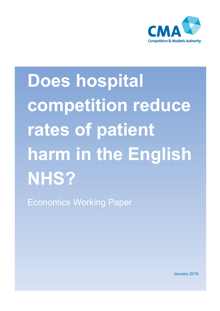

# **Does hospital competition reduce**  rates of patient **harm in the English NHS?**

Economics Working Paper

January 2019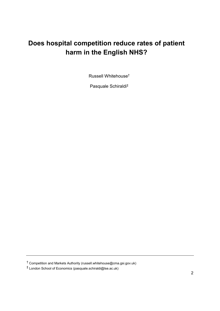# **Does hospital competition reduce rates of patient harm in the English NHS?**

Russell Whitehouse†1

Pasquale Schiraldi‡2

<sup>†</sup> Competition and Markets Authority (russell.whitehouse@cma.gsi.gov.uk)

<sup>‡</sup> London School of Economics (pasquale.schiraldi@lse.ac.uk)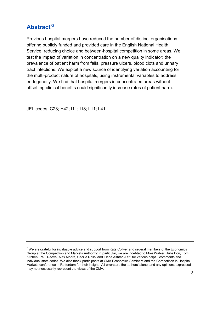## **Abstract\*3**

Previous hospital mergers have reduced the number of distinct organisations offering publicly funded and provided care in the English National Health Service, reducing choice and between-hospital competition in some areas. We test the impact of variation in concentration on a new quality indicator: the prevalence of patient harm from falls, pressure ulcers, blood clots and urinary tract infections. We exploit a new source of identifying variation accounting for the multi-product nature of hospitals, using instrumental variables to address endogeneity. We find that hospital mergers in concentrated areas without offsetting clinical benefits could significantly increase rates of patient harm.

JEL codes: C23; H42; I11; I18; L11; L41.

<sup>\*</sup> We are grateful for invaluable advice and support from Kate Collyer and several members of the Economics Group at the Competition and Markets Authority: in particular, we are indebted to Mike Walker, Julie Bon, Tom Kitchen, Paul Reeve, Alex Moore, Cecilia Rossi and Elena Ashtari-Tafti for various helpful comments and individual stata codes. We also thank participants at CMA Economics Seminars and the Competition in Hospital Markets conference in Rotterdam for their insight.. All errors are the authors' alone, and any opinions expressed may not necessarily represent the views of the CMA.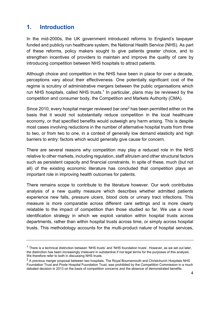## **1. Introduction**

In the mid-2000s, the UK government introduced reforms to England's taxpayer funded and publicly run healthcare system, the National Health Service (NHS). As part of these reforms, policy makers sought to give patients greater choice, and to strengthen incentives of providers to maintain and improve the quality of care by introducing competition between NHS hospitals to attract patients.

Although choice and competition in the NHS have been in place for over a decade, perceptions vary about their effectiveness. One potentially significant cost of the regime is scrutiny of administrative mergers between the public organisations which run NHS hospitals, called NHS trusts.<sup>1</sup> In particular, plans may be reviewed by the competition and consumer body, the Competition and Markets Authority (CMA).

Since 2010, every hospital merger reviewed bar one<sup>2</sup> has been permitted either on the basis that it would not substantially reduce competition in the local healthcare economy, or that specified benefits would outweigh any harm arising. This is despite most cases involving reductions in the number of alternative hospital trusts from three to two, or from two to one, in a context of generally low demand elasticity and high barriers to entry: factors which would generally give cause for concern.

There are several reasons why competition may play a reduced role in the NHS relative to other markets, including regulation, staff altruism and other structural factors such as persistent capacity and financial constraints. In spite of these, much (but not all) of the existing economic literature has concluded that competition plays an important role in improving health outcomes for patents.

There remains scope to contribute to the literature however. Our work contributes analysis of a new quality measure which describes whether admitted patients experience new falls, pressure ulcers, blood clots or urinary tract infections. This measure is more comparable across different care settings and is more clearly relatable to the impact of competition than those studied so far. We use a novel identification strategy in which we exploit variation within hospital trusts across departments, rather than within hospital trusts across time, or simply across hospital trusts. This methodology accounts for the multi-product nature of hospital services,

 $1$  There is a technical distinction between 'NHS trusts' and 'NHS foundation trusts'. However, as we set out later, the distinction has been increasingly irrelevant in substantive if not legal terms for the purposes of this analysis. We therefore refer to both in discussing NHS trusts.

<sup>&</sup>lt;sup>2</sup> A previous merger proposal between two hospitals, The Royal Bournemouth and Christchurch Hospitals NHS Foundation Trust and Poole Hospital Foundation Trust, was prohibited by the Competition Commission in a much debated decision in 2013 on the basis of competition concerns and the absence of demonstrated benefits.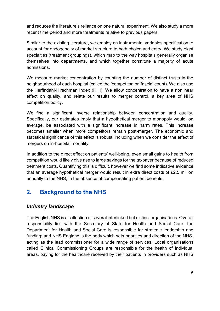and reduces the literature's reliance on one natural experiment. We also study a more recent time period and more treatments relative to previous papers.

Similar to the existing literature, we employ an instrumental variables specification to account for endogeneity of market structure to both choice and entry. We study eight specialties (treatment groupings), which map to the way hospitals generally organise themselves into departments, and which together constitute a majority of acute admissions.

We measure market concentration by counting the number of distinct trusts in the neighbourhood of each hospital (called the 'competitor' or 'fascia' count). We also use the Herfindahl-Hirschman Index (HHI). We allow concentration to have a nonlinear effect on quality, and relate our results to merger control, a key area of NHS competition policy.

We find a significant inverse relationship between concentration and quality. Specifically, our estimates imply that a hypothetical merger to monopoly would, on average, be associated with a significant increase in harm rates. This increase becomes smaller when more competitors remain post-merger. The economic and statistical significance of this effect is robust, including when we consider the effect of mergers on in-hospital mortality.

In addition to the direct effect on patients' well-being, even small gains to health from competition would likely give rise to large savings for the taxpayer because of reduced treatment costs. Quantifying this is difficult, however we find some indicative evidence that an average hypothetical merger would result in extra direct costs of £2.5 million annually to the NHS, in the absence of compensating patient benefits.

## **2. Background to the NHS**

## *Industry landscape*

The English NHS is a collection of several interlinked but distinct organisations. Overall responsibility lies with the Secretary of State for Health and Social Care; the Department for Health and Social Care is responsible for strategic leadership and funding; and NHS England is the body which sets priorities and direction of the NHS, acting as the lead commissioner for a wide range of services. Local organisations called Clinical Commissioning Groups are responsible for the health of individual areas, paying for the healthcare received by their patients in providers such as NHS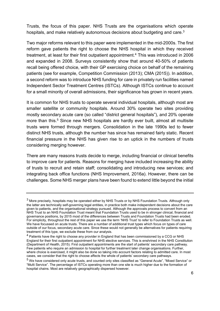Trusts, the focus of this paper. NHS Trusts are the organisations which operate hospitals, and make relatively autonomous decisions about budgeting and care.<sup>3</sup>

Two major reforms relevant to this paper were implemented in the mid-2000s. The first reform gave patients the right to choose the NHS hospital in which they received treatment, at least for their first outpatient appointment. <sup>4</sup> This was introduced in 2006 and expanded in 2008. Surveys consistently show that around 40-50% of patients recall being offered choice, with their GP exercising choice on behalf of the remaining patients (see for example, Competition Commission (2013); CMA (2015)). In addition, a second reform was to introduce NHS funding for care in privately run facilities named Independent Sector Treatment Centres (ISTCs). Although ISTCs continue to account for a small minority of overall admissions, their significance has grown in recent years.

It is common for NHS trusts to operate several individual hospitals, although most are smaller satellite or community hospitals. Around 30% operate two sites providing mostly secondary acute care (so called "district general hospitals"), and 20% operate more than this.<sup>5</sup> Since new NHS hospitals are hardly ever built, almost all multisite trusts were formed through mergers. Consolidation in the late 1990s led to fewer distinct NHS trusts, although the number has since has remained fairly static. Recent financial pressure in the NHS has given rise to an uptick in the numbers of trusts considering merging however.

There are many reasons trusts decide to merge, including financial or clinical benefits to improve care for patients. Reasons for merging have included increasing the ability of trusts to recruit and retain staff; consolidating and introducing new services; and integrating back office functions (NHS Improvement, 2016a). However, there can be challenges. Some NHS merger plans have been found to extend little beyond the initial

<sup>3</sup> More precisely, hospitals may be operated either by NHS Trusts or by NHS Foundation Trusts. Although only the latter are technically self-governing legal entities, in practice both make independent decisions about the care given to patients, and the organisational strategy pursued. Although the approvals process to convert from an NHS Trust to an NHS Foundation Trust meant that Foundation Trusts used to be in stronger clinical, financial and governance positions, by 2015 most of the differences between Trusts and Foundation Trusts had been eroded. For simplicity, throughout the rest of this paper we use the term 'NHS Trust' to refer to Foundation Trusts as well. We have focussed on acute trusts. There are a number of additional trust types which focus on types of care outside of our focus, secondary acute care. Since these would not generally be alternatives for patients requiring treatment of this type, we exclude these from our analysis.

<sup>&</sup>lt;sup>4</sup> Patients have the right to choose any provider in England that has been commissioned by a CCG or NHS England for their first outpatient appointment for NHS elective services. This is enshrined in the NHS Constitution (Department of Health, 2015). First outpatient appointments are the start of patients' secondary care pathway. Few patients who require an admission to hospital for further treatment later change organisations. Further, where choice is exercised, it might also be done so taking into account factors relating to admitted care. In most cases, we consider that the right to choose affects the whole of patients' secondary care pathways.

<sup>5</sup> We have considered only acute trusts, and counted only sites classified as "General Acute", "Mixed Service" or "Multi Service". The percentage of ISTCs operating more than one site is much higher due to the formation of hospital chains. Most are relatively geographically dispersed however.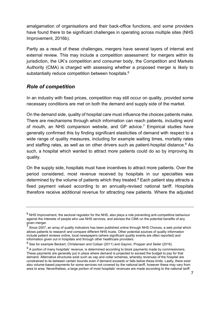amalgamation of organisations and their back-office functions, and some providers have found there to be significant challenges in operating across multiple sites (NHS Improvement, 2016b).

Partly as a result of these challenges, mergers have several layers of internal and external review. This may include a competition assessment: for mergers within its jurisdiction, the UK's competition and consumer body, the Competition and Markets Authority (CMA) is charged with assessing whether a proposed merger is likely to substantially reduce competition between hospitals.<sup>6</sup>

## *Role of competition*

In an industry with fixed prices, competition may still occur on quality, provided some necessary conditions are met on both the demand and supply side of the market.

On the demand side, quality of hospital care must influence the choices patients make. There are mechanisms through which information can reach patients, including word of mouth, an NHS comparison website, and GP advice.<sup>7</sup> Empirical studies have generally confirmed this by finding significant elasticities of demand with respect to a wide range of quality measures, including for example waiting times, mortality rates and staffing rates, as well as on other drivers such as patient-hospital distance. <sup>8</sup> As such, a hospital which wanted to attract more patients could do so by improving its quality.

On the supply side, hospitals must have incentives to attract more patients. Over the period considered, most revenue received by hospitals in our specialties was determined by the volume of patients which they treated. <sup>9</sup> Each patient stay attracts a fixed payment valued according to an annually-revised national tariff. Hospitals therefore receive additional revenue for attracting new patients. Where the adjusted

 $6$  NHS Improvement, the sectoral regulator for the NHS, also plays a role preventing anti-competitive behaviour against the interests of people who use NHS services, and advises the CMA on the potential benefits of any given merger.

 $<sup>7</sup>$  Since 2007, an array of quality indicators has been published online through NHS Choices, a web portal which</sup> allows patients to research and compare different NHS trusts. Other potential sources of quality information include patient reviews online, local newspapers (where significant quality events are often reported) and information given out in hospitals and through other healthcare providers.

<sup>&</sup>lt;sup>8</sup> See for example Beckert, Christensen and Collyer (2011) and Gaynor, Propper and Seiler (2016).

 $9$  A portion of many hospitals' revenue, is determined according to block payments made by commissioners. These payments are generally put in place where demand is projected to exceed the budget to pay for that demand. Alternative structures exist such as cap and collar schemes, whereby revenues of the hospital are constrained to lie between certain bounds even if demand exceeds or falls below these limits. Lastly, there exist also volume-based payments for some services not covered by the national tariff, however these may vary from area to area. Nevertheless, a large portion of most hospitals' revenues are made according to the national tariff.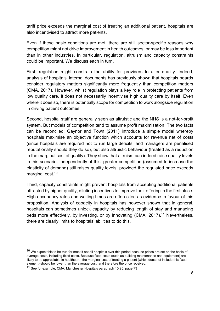tariff price exceeds the marginal cost of treating an additional patient, hospitals are also incentivised to attract more patients.

Even if these basic conditions are met, there are still sector-specific reasons why competition might not drive improvement in health outcomes, or may be less important than in other industries. In particular, regulation, altruism and capacity constraints could be important. We discuss each in turn.

First, regulation might constrain the ability for providers to alter quality. Indeed, analysis of hospitals' internal documents has previously shown that hospitals boards consider regulatory matters significantly more frequently than competition matters (CMA, 2017). However, whilst regulation plays a key role in protecting patients from low quality care, it does not necessarily incentivise high quality care by itself. Even where it does so, there is potentially scope for competition to work alongside regulation in driving patient outcomes.

Second, hospital staff are generally seen as altruistic and the NHS is a not-for-profit system. But models of competition tend to assume profit maximisation. The two facts can be reconciled: Gaynor and Town (2011) introduce a simple model whereby hospitals maximise an objective function which accounts for revenue net of costs (since hospitals are required not to run large deficits, and managers are penalised reputationally should they do so), but also altruistic behaviour (treated as a reduction in the marginal cost of quality). They show that altruism can indeed raise quality levels in this scenario. Independently of this, greater competition (assumed to increase the elasticity of demand) still raises quality levels, provided the regulated price exceeds marginal cost. 10

Third, capacity constraints might prevent hospitals from accepting additional patients attracted by higher quality, diluting incentives to improve their offering in the first place. High occupancy rates and waiting times are often cited as evidence in favour of this proposition. Analysis of capacity in hospitals has however shown that in general, hospitals can sometimes unlock capacity by reducing length of stay and managing beds more effectively, by investing, or by innovating (CMA, 2017). <sup>11</sup> Nevertheless, there are clearly limits to hospitals' abilities to do this.

 $10$  We expect this to be true for most if not all hospitals over this period because prices are set on the basis of average costs, including fixed costs. Because fixed costs (such as building maintenance and equipment) are likely to be appreciable in healthcare, the marginal cost of treating a patient (which does not include this fixed element) should be lower than the average cost, and therefore the price received.

<sup>11</sup> See for example, CMA: Manchester Hospitals paragraph 10.25, page 73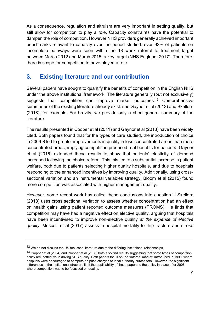As a consequence, regulation and altruism are very important in setting quality, but still allow for competition to play a role. Capacity constraints have the potential to dampen the role of competition. However NHS providers generally achieved important benchmarks relevant to capacity over the period studied: over 92% of patients on incomplete pathways were seen within the 18 week referral to treatment target between March 2012 and March 2015, a key target (NHS England, 2017). Therefore, there is scope for competition to have played a role.

## **3. Existing literature and our contribution**

Several papers have sought to quantify the benefits of competition in the English NHS under the above institutional framework. The literature generally (but not exclusively) suggests that competition can improve market outcomes.<sup>12</sup> Comprehensive summaries of the existing literature already exist: see Gaynor et al (2013) and Skellern (2018), for example. For brevity, we provide only a short general summary of the literature.

The results presented in Cooper et al (2011) and Gaynor et al (2013) have been widely cited. Both papers found that for the types of care studied, the introduction of choice in 2006-8 led to greater improvements in quality in less concentrated areas than more concentrated areas, implying competition produced real benefits for patients. Gaynor et al (2016) extended these results to show that patients' elasticity of demand increased following the choice reform. This this led to a substantial increase in patient welfare, both due to patients selecting higher quality hospitals, and due to hospitals responding to the enhanced incentives by improving quality. Additionally, using crosssectional variation and an instrumental variables strategy, Bloom et al (2015) found more competition was associated with higher management quality.

However, some recent work has called these conclusions into question. <sup>13</sup> Skellern (2018) uses cross sectional variation to assess whether concentration had an effect on health gains using patient reported outcome measures (PROMS). He finds that competition may have had a negative effect on elective quality, arguing that hospitals have been incentivised to improve non-elective quality *at the expense of elective quality*. Moscelli et al (2017) assess in-hospital mortality for hip fracture and stroke

<sup>&</sup>lt;sup>12</sup> We do not discuss the US-focussed literature due to the differing institutional relationships.

<sup>&</sup>lt;sup>13</sup> Propper et al (2004) and Propper et al (2008) both also find results suggesting that some types of competition policy are ineffective in driving NHS quality. Both papers focus on the "internal market" introduced in 1990, where hospitals were encouraged to compete on price charged to local authority purchasers. However, the significant differences in the institutional structure limit the applicability of these papers to the policy in place after 2006, where competition was to be focussed on quality.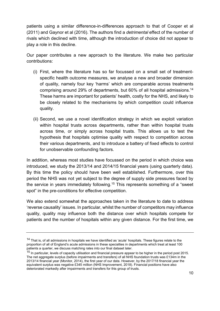patients using a similar difference-in-differences approach to that of Cooper et al (2011) and Gaynor et al (2016). The authors find a *detrimental* effect of the number of rivals which declined with time, although the introduction of choice did not appear to play a role in this decline.

Our paper contributes a new approach to the literature. We make two particular contributions:

- (i) First, where the literature has so far focussed on a small set of treatmentspecific health outcome measures, we analyse a new and broader dimension of quality, namely four key 'harms' which are comparable across treatments comprising around 29% of departments, but 60% of all hospital admissions.<sup>14</sup> These harms are important for patients' health, costly for the NHS, and likely to be closely related to the mechanisms by which competition could influence quality.
- (ii) Second, we use a novel identification strategy in which we exploit variation within hospital trusts across departments, rather than within hospital trusts across time, or simply across hospital trusts. This allows us to test the hypothesis that hospitals optimise quality with respect to competition across their various departments, and to introduce a battery of fixed effects to control for unobservable confounding factors.

In addition, whereas most studies have focussed on the period in which choice was introduced, we study the 2013/14 and 2014/15 financial years (using quarterly data). By this time the policy should have been well established. Furthermore, over this period the NHS was not yet subject to the degree of supply side pressures faced by the service in years immediately following. <sup>15</sup> This represents something of a "sweet spot" in the pre-conditions for effective competition.

We also extend somewhat the approaches taken in the literature to date to address 'reverse causality' issues. In particular, whilst the number of competitors may influence quality, quality may influence both the distance over which hospitals compete for patients and the number of hospitals within any given distance. For the first time, we

<sup>&</sup>lt;sup>14</sup> That is, of all admissions in hospitals we have identified as 'acute' hospitals. These figures relate to the proportion of all of England's acute admissions in these specialties in departments which treat at least 100 patients a quarter, we discuss matching rates into our final dataset later.

<sup>&</sup>lt;sup>15</sup> In particular. levels of capacity utilisation and financial pressure appear to be higher in the period post 2015. The net aggregate surplus (before impairments and transfers) of all NHS foundation trusts was £134m in the 2013/14 financial year (Monitor, 2014), the first year of our data. However, by the 2017/18 financial year the equivalent surplus was negative £345 million (NHS Improvement, 2018). Financial positions have also deteriorated markedly after impairments and transfers for this group of trusts.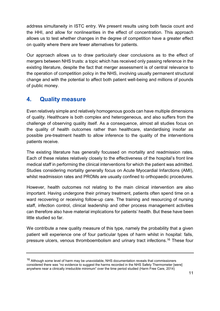address simultaneity in ISTC entry. We present results using both fascia count and the HHI, and allow for nonlinearities in the effect of concentration. This approach allows us to test whether changes in the degree of competition have a greater effect on quality where there are fewer alternatives for patients.

Our approach allows us to draw particularly clear conclusions as to the effect of mergers between NHS trusts: a topic which has received only passing reference in the existing literature, despite the fact that merger assessment is of central relevance to the operation of competition policy in the NHS, involving usually permanent structural change and with the potential to affect both patient well-being and millions of pounds of public money.

## **4. Quality measure**

Even relatively simple and relatively homogenous goods can have multiple dimensions of quality. Healthcare is both complex and heterogeneous, and also suffers from the challenge of observing quality itself. As a consequence, almost all studies focus on the quality of health outcomes rather than healthcare, standardising insofar as possible pre-treatment health to allow inference to the quality of the interventions patients receive.

The existing literature has generally focussed on mortality and readmission rates. Each of these relates relatively closely to the effectiveness of the hospital's front line medical staff in performing the clinical interventions for which the patient was admitted. Studies considering mortality generally focus on Acute Myocardial Infarctions (AMI), whilst readmission rates and PROMs are usually confined to orthopaedic procedures.

However, health outcomes not relating to the main clinical intervention are also important. Having undergone their primary treatment, patients often spend time on a ward recovering or receiving follow-up care. The training and resourcing of nursing staff, infection control, clinical leadership and other process management activities can therefore also have material implications for patients' health. But these have been little studied so far.

We contribute a new quality measure of this type, namely the probability that a given patient will experience one of four particular types of harm whilst in hospital: falls, pressure ulcers, venous thromboembolism and urinary tract infections.<sup>16</sup> These four

 $16$  Although some level of harm may be unavoidable, NHS documentation reveals that commissioners considered there was "no evidence to suggest the harms recorded in the NHS Safety Thermometer [were] anywhere near a clinically irreducible minimum" over the time period studied (Harm Free Care, 2014)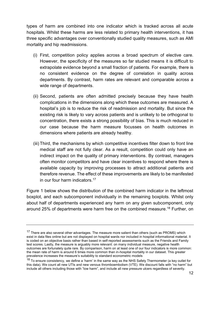types of harm are combined into one indicator which is tracked across all acute hospitals. Whilst these harms are less related to primary health interventions, it has three specific advantages over conventionally studied quality measures, such as AMI mortality and hip readmissions.

- (i) First, competition policy applies across a broad spectrum of elective care. However, the specificity of the measures so far studied means it is difficult to extrapolate evidence beyond a small fraction of patients. For example, there is no consistent evidence on the degree of correlation in quality across departments. By contrast, harm rates are relevant and comparable across a wide range of departments.
- (ii) Second, patients are often admitted precisely because they have health complications in the dimensions along which these outcomes are measured. A hospital's job is to reduce the risk of readmission and mortality. But since the existing risk is likely to vary across patients and is unlikely to be orthogonal to concentration, there exists a strong possibility of bias. This is much reduced in our case because the harm measure focusses on health outcomes in dimensions where patients are already healthy.
- (iii) Third, the mechanisms by which competitive incentives filter down to front line medical staff are not fully clear. As a result, competition could only have an indirect impact on the quality of primary interventions. By contrast, managers often monitor competitors and have clear incentives to respond where there is available capacity by improving processes to attract additional patients and therefore revenue. The effect of these improvements are likely to be manifested in our four harm indicators.<sup>17</sup>

Figure 1 below shows the distribution of the combined harm indicator in the leftmost boxplot, and each subcomponent individually in the remaining boxplots. Whilst only about half of departments experienced any harm on any given subcomponent, only around 25% of departments were harm free on the combined measure.<sup>18</sup> Further, on

<sup>&</sup>lt;sup>17</sup> There are also several other advantages. The measure more salient than others (such as PROMS) which exist in data files online but are not displayed on hospital wards nor included in hospital informational material. It is coded on an objective basis rather than based in self-reported assessments such as the Friends and Family test scores. Lastly, the measure is arguably more relevant: on many individual measure, negative health outcomes are fortunately quite rare. By comparison, harm on at least one of our four indicators is more common: the mean rate of harm is around 6 times more common than in-hospital mortality in our dataset. This greater prevalence increases the measure's suitability to standard econometric models

<sup>&</sup>lt;sup>18</sup> To ensure consistency, we define a 'harm' in the same way as the NHS Safety Thermometer (a key outlet for this data). We count all new UTIs and new venous thromboembolism (VTE). We discount falls with "no harm" but include all others including those with "low harm", and include all new pressure ulcers regardless of severity.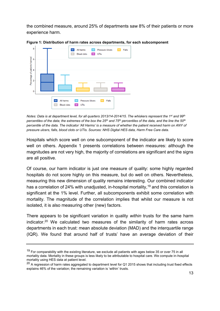the combined measure, around 25% of departments saw 8% of their patients or more experience harm.



**Figure 1: Distribution of harm rates across departments, for each subcomponent**

*Notes: Data is at department level, for all quarters 2013/14-2014/15. The whiskers represent the 1st and 99th percentiles of the data; the extremes of the box the 25th and 75th percentiles of the data, and the line the 50th percentile of the data. The indicator 'All Harms' is a measure of whether the patient received harm on ANY of pressure ulcers, falls, blood clots or UTIs. Sources: NHS Digital HES data, Harm Free Care data.*

Hospitals which score well on one subcomponent of the indicator are likely to score well on others. Appendix 1 presents correlations between measures: although the magnitudes are not very high, the majority of correlations are significant and the signs are all positive.

Of course, our harm indicator is just one measure of quality: some highly regarded hospitals do not score highly on this measure, but do well on others. Nevertheless, measuring this new dimension of quality remains interesting. Our combined indicator has a correlation of 24% with unadjusted, in-hospital mortality,<sup>19</sup> and this correlation is significant at the 1% level. Further, all subcomponents exhibit some correlation with mortality. The magnitude of the correlation implies that whilst our measure is not isolated, it is also measuring other (new) factors.

There appears to be significant variation in quality *within* trusts for the same harm indicator. <sup>20</sup> We calculated two measures of the similarity of harm rates across departments in each trust: mean absolute deviation (MAD) and the interquartile range (IQR). We found that around half of trusts' have an average deviation of their

<sup>&</sup>lt;sup>19</sup> For comparability with the existing literature, we exclude all patients with ages below 35 or over 75 in all mortality data. Mortality in these groups is less likely to be attributable to hospital care. We compute in-hospital mortality using HES data at patient level.

 $20$  A regression of harm rates aggregated to department level for Q1 2015 shows that including trust fixed effects explains 46% of the variation; the remaining variation is 'within' trusts.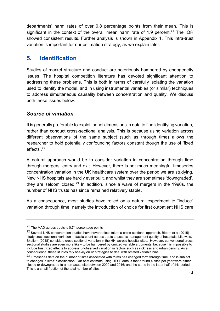departments' harm rates of over 0.8 percentage points from their mean. This is significant in the context of the overall mean harm rate of 1.9 percent.<sup>21</sup> The IQR showed consistent results. Further analysis is shown in Appendix 1. This intra-trust variation is important for our estimation strategy, as we explain later.

## **5. Identification**

Studies of market structure and conduct are notoriously hampered by endogeneity issues. The hospital competition literature has devoted significant attention to addressing these problems. This is both in terms of carefully isolating the variation used to identify the model, and in using instrumental variables (or similar) techniques to address simultaneous causality between concentration and quality. We discuss both these issues below.

## *Source of variation*

It is generally preferable to exploit panel dimensions in data to find identifying variation, rather than conduct cross-sectional analysis. This is because using variation across different observations of the same subject (such as through time) allows the researcher to hold potentially confounding factors constant though the use of 'fixed effects'.<sup>22</sup>

A natural approach would be to consider variation in concentration through time through mergers, entry and exit. However, there is not much meaningful timeseries concentration variation in the UK healthcare system over the period we are studying. New NHS hospitals are hardly ever built, and whilst they are sometimes 'downgraded', they are seldom closed.<sup>23</sup> In addition, since a wave of mergers in the 1990s, the number of NHS trusts has since remained relatively stable.

As a consequence, most studies have relied on a natural experiment to "induce" variation through time, namely the introduction of choice for first outpatient NHS care

 $21$  The MAD across trusts is 0.74 percentage points

<sup>&</sup>lt;sup>22</sup> Several NHS concentration studies have nevertheless taken a cross-sectional approach. Bloom et al (2015) study cross sectional variation in fascia count across trusts to assess management quality of hospitals. Likewise, Skellern (2018) considers cross sectional variation in the HHI across hospital sites. However, conventional cross sectional studies are even more likely to be hampered by omitted variable arguments, because it is impossible to include trust fixed effects to address unobserved variation in factors such as sickness and urban density. As a consequence, these studies rely heavily on IV strategies to deal with omitted variable bias.

<sup>&</sup>lt;sup>23</sup> Timeseries data on the number of sites associated with trusts has changed form through time, and is subject to changes in sites' classification. Our best estimate using HESF data is that around 4 sites per year were either closed or downgraded to a non-acute site between 2000 and 2016; and the same in the latter half of this period. This is a small fraction of the total number of sites.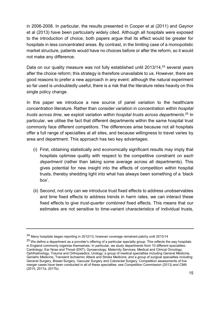in 2006-2008. In particular, the results presented in Cooper et al (2011) and Gaynor et al (2013) have been particularly widely cited. Although all hospitals were exposed to the introduction of choice, both papers argue that its effect would be greater for hospitals in less concentrated areas. By contrast, in the limiting case of a monopolistic market structure, patients would have no choices before or after the reform, so it would not make any difference.

Data on our quality measure was not fully established until 2013/14,<sup>24</sup> several years after the choice reform; this strategy is therefore unavailable to us. However, there are good reasons to prefer a new approach in any event: although the natural experiment so far used is undoubtedly useful, there is a risk that the literature relies heavily on this single policy change.

In this paper we introduce a new source of panel variation to the healthcare concentration literature. Rather than consider variation in concentration *within hospital trusts across time*, we exploit variation *within hospital trusts across departments*. <sup>25</sup> In particular, we utilise the fact that different departments within the same hospital trust commonly face different competitors. The differences arise because not all hospitals offer a full range of specialties at all sites, and because willingness to travel varies by area and department. This approach has two key advantages:

- (i) First, obtaining statistically and economically significant results may imply that hospitals optimise quality with respect to the competitive constraint *on each department* (rather than taking some average across all departments). This gives potential for new insight into the effects of competition *within* hospital trusts, thereby shedding light into what has always been something of a 'black box'.
- (ii) Second, not only can we introduce trust fixed effects to address unobservables and time fixed effects to address trends in harm rates, we can interact these fixed effects to give *trust-quarter combined* fixed effects. This means that our estimates are not sensitive to time-variant characteristics of individual trusts,

<sup>24</sup> Many hospitals began reporting in 2012/13, however coverage remained patchy until 2013/14

 $25$  We define a department as a provider's offering of a particular specialty group. This reflects the way hospitals in England commonly organise themselves. In particular, we study departments from 10 different specialties: Cardiology; Ear Nose and Throat (ENT); Gynaecology; Maternity Services; Medical and Clinical Oncology; Ophthalmology; Trauma and Orthopaedics; Urology; a group of medical specialties including General Medicine, Geriatric Medicine, Transient Ischaemic Attack and Stroke Medicine; and a group of surgical specialties including General Surgery, Breast Surgery, Vascular Surgery and Colorectal Surgery. Competition assessments of live merger cases have been conducted in all of these specialties: see Competition Commission (2013) and CMA (2015, 2017a, 2017b).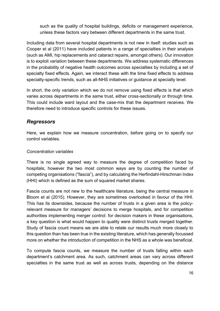such as the quality of hospital buildings, deficits or management experience, unless these factors vary between different departments in the same trust.

Including data from several hospital departments is not new in itself: studies such as Cooper et al (2011) have included patients in a range of specialties in their analysis (such as AMI, hip replacements and cataract repairs, amongst others). Our innovation is to exploit variation between these departments. We address systematic differences in the probability of negative health outcomes across specialties by including a set of specialty fixed effects. Again, we interact these with the time fixed effects to address specialty-specific trends, such as all-NHS initiatives or guidance at specialty level.

In short, the only variation which we do not remove using fixed effects is that which varies across departments in the same trust, either cross-sectionally or through time. This could include ward layout and the case-mix that the department receives. We therefore need to introduce specific controls for these issues.

## *Regressors*

Here, we explain how we measure concentration, before going on to specify our control variables.

#### *Concentration variables*

There is no single agreed way to measure the degree of competition faced by hospitals; however the two most common ways are by counting the number of competing organisations ("fascia"), and by calculating the Herfindahl-Hirschman Index (HHI) which is defined as the sum of squared market shares.

Fascia counts are not new to the healthcare literature, being the central measure in Bloom et al (2015). However, they are sometimes overlooked in favour of the HHI. This has its downsides, because the number of trusts in a given area is the policyrelevant measure for managers' decisions to merge hospitals, and for competition authorities implementing merger control: for decision makers in these organisations, a key question is what would happen to quality were distinct trusts merged together. Study of fascia count means we are able to relate our results much more closely to this question than has been true in the existing literature, which has generally focussed more on whether the introduction of competition in the NHS as a whole was beneficial.

To compute fascia counts, we measure the number of trusts falling within each department's catchment area. As such, catchment areas can vary across different specialties in the same trust as well as across trusts, depending on the distance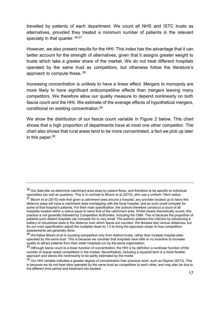travelled by patients of each department. We count all NHS and ISTC trusts as alternatives, provided they treated a minimum number of patients in the relevant specialty in that quarter. 26,27

However, we also present results for the HHI. This index has the advantage that it can better account for the strength of alternatives, given that it assigns greater weight to trusts which take a greater share of the market. We do not treat different hospitals operated by the same trust as competitors, but otherwise follow the literature's approach to compute these. <sup>28</sup>

Increasing concentration is unlikely to have a linear effect. Mergers to monopoly are more likely to have significant anticompetitive effects than mergers leaving many competitors. We therefore allow our quality measure to depend nonlinearly on both fascia count and the HHI. We estimate of the average effects of hypothetical mergers, conditional on existing concentration.<sup>29</sup>

We show the distribution of our fascia count variable in Figure 2 below. This chart shows that a high proportion of departments have at most one other competitor. The chart also shows that rural areas tend to be more concentrated, a fact we pick up later in this paper.<sup>30</sup>

 $26$  Our data lets us determine catchment area sizes by patient flows, and therefore to be specific to individual specialties (as well as quarters). This is in contrast to Bloom et al (2015), who use a uniform 15km radius.

 $27$  Bloom et al (2015) note that given a catchment area around a hospital, any provider located up to twice this distance away will have a catchment area overlapping with the focal hospital, and as such could compete for some of that hospital's patients. For their main specification, the authors therefore construct a count of all hospitals located within a radius equal to twice that of the catchment area. Whilst clearly theoretically sound, this practice is not generally followed by Competition Authorities, including the CMA. This is because the proportion of patients such distant hospitals can compete for is very small. The authors address this criticism by introducing a battery of robustness tests in the distance over which fascia are counted. We likewise test various distances, but for our main specification adjust the multiplier down to 1.5 to bring the approach closer to how competition assessments are generally done.

<sup>&</sup>lt;sup>28</sup> We follow Bloom et al in counting competition only from distinct trusts, rather than multiple hospital sites operated by the same trust. This is because we consider that hospitals have little or no incentive to increase quality to attract patients from their sister hospitals run by the same organisation.

 $29$  Although fascia count is a linear function of concentration, the HHI is by definition a nonlinear function of the number of (equal sized) competitors in the market. Nevertheless, including a squared term is a more flexible approach and allows the nonlinearity to be partly estimated by the model.

 $30$  Our HHI variable indicates a greater degree of concentration than previous work, such as Gaynor (2013). This is because we do not treat sites operated by the same trust as competitors to each other, and may also be due to the different time period and treatment mix studied.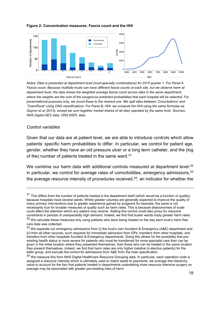

#### **Figure 2: Concentration measures: Fascia count and the HHI**

*Notes: Data is presented at department level (trust-specialty combinations) for 2015 quarter 1. For Panel A, Fascia count: Because multisite trusts can have different fascia counts at each site, but we observe harm at department level, the data shows the weighted average fascia count across sites in the same department, where the weights are the sum of the exogenous predicted probabilities that each hospital will be selected. For presentational purposes only, we round these to the nearest one. We split sites between 'Conurbations' and 'Town/Rural' using ONS classifications. For Panel B, HHI: we compute the HHI using the same formulae as Gaynor et al (2013), except we sum together market shares of all sites operated by the same trust. Sources: NHS Digital HES data; ONS NSPL data.*

#### *Control variables*

Given that our data are at patient level, we are able to introduce controls which allow patients' specific harm probabilities to differ. In particular, we control for patient age, gender, whether they have an old pressure ulcer or a long term catheter, and the (log of the) number of patients treated in the same ward.<sup>31</sup>

We combine our harm data with additional controls measured at department level:<sup>32</sup> in particular, we control for average rates of comorbidities, emergency admissions.  $33$ the average resource intensity of procedures received, $34$ , an indicator for whether the

 $31$  This differs from the number of patients treated in the department itself (which would be a function of quality), because hospitals have several wards. Whilst greater volumes are generally expected to improve the quality of many *primary interventions* due to greater experience gained by surgeons for example, the same is not necessarily true for broader measures of quality such as harm rates. This is because diseconomies of scale could affect the attention which any patient may receive. Adding this control could also proxy for resource constraints in periods of unexpectedly high demand. Indeed, we find that busier wards imply greater harm rates.

<sup>32</sup> We calculate these measures only using patients who were being treated on the day each trust's harm free care data was collected.

<sup>33</sup> We separate out emergency admissions from (i) the trust's own Accident & Emergency (A&E) department and (ii) from all other sources, such requests for immediate admission from GPs, transfers from other hospitals, and transfers from other hospitals Accident & Emergency departments. Doing this allows for the possibility that preexisting health status is more severe for patients who must be transferred for more specialist care than can be given in the initial location where they presented themselves, than those who can be treated in the same location they present themselves. Indeed, we find that harm rates are only higher (relative to elective patients) for the latter group, and exclude the control for admissions from A&E from the main specification.

<sup>34</sup> We measure this from NHS Digital Healthcare Resource Grouping data. In particular, each operation code is assigned a resource intensity which is ultimately used to match spells to payments; we average this hierarchy value to account for the fact that patients treated in departments undertaking more resource intensive surgery on average may be associated with greater pre-existing risks of harm.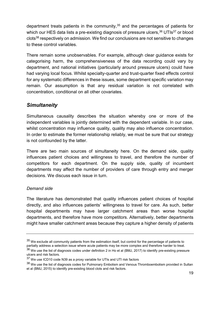department treats patients in the community, <sup>35</sup> and the percentages of patients for which our HES data lists a pre-existing diagnosis of pressure ulcers.<sup>36</sup> UTIs<sup>37</sup> or blood clots<sup>38</sup> respectively on admission. We find our conclusions are not sensitive to changes to these control variables.

There remain some unobservables. For example, although clear guidance exists for categorising harm, the comprehensiveness of the data recording could vary by department, and national initiatives (particularly around pressure ulcers) could have had varying local focus. Whilst specialty-quarter and trust-quarter fixed effects control for any systematic differences in these issues, some department specific variation may remain. Our assumption is that any residual variation is not correlated with concentration, conditional on all other covariates.

## *Simultaneity*

Simultaneous causality describes the situation whereby one or more of the independent variables is jointly determined with the dependent variable. In our case, whilst concentration may influence quality, quality may also influence concentration. In order to estimate the former relationship reliably, we must be sure that our strategy is not confounded by the latter.

There are two main sources of simultaneity here. On the demand side, quality influences patient choices and willingness to travel, and therefore the number of competitors for each department. On the supply side, quality of incumbent departments may affect the number of providers of care through entry and merger decisions. We discuss each issue in turn.

#### *Demand side*

The literature has demonstrated that quality influences patient choices of hospital directly, and also influences patients' willingness to travel for care. As such, better hospital departments may have larger catchment areas than worse hospital departments, and therefore have more competitors. Alternatively, better departments might have smaller catchment areas because they capture a higher density of patients

 $35$  We exclude all community patients from the estimation itself, but control for the percentage of patients to partially address a selection issue where acute patients may be more complex and therefore harder to treat.  $36$  We use the list of diagnosis codes under definition 2 in Ho et al (BMJ, 2017) to identify pre-existing pressure ulcers and risk factors.

<sup>&</sup>lt;sup>37</sup> We use ICD10 code N39 as a proxy variable for UTIs and UTI risk factors

<sup>38</sup> We use the list of diagnosis codes for Pulmonary Embolism and Venous Thromboembolism provided in Sultan et al (BMJ, 2015) to identify pre-existing blood clots and risk factors.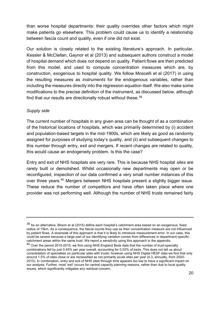than worse hospital departments: their quality overrides other factors which might make patients go elsewhere. This problem could cause us to identify a relationship between fascia count and quality, even if one did not exist.

Our solution is closely related to the existing literature's approach. In particular, Kessler & McClellan, Gaynor et al (2013) and subsequent authors construct a model of hospital demand which does not depend on quality. Patient flows are then predicted from this model, and used to compute concentration measures which are, by construction, exogenous to hospital quality. We follow Moscelli et al (2017) in using the resulting measures as *instruments* for the endogenous variables, rather than including the measures directly into the regression equation itself. We also make some modifications to the precise definition of the instrument, as discussed below, although find that our results are directionally robust without these.<sup>39</sup>

#### *Supply side*

The current number of hospitals in any given area can be thought of as a combination of the historical locations of hospitals, which was primarily determined by (i) accident and population-based targets in the mid-1900s, which are likely as good as randomly assigned for purposes of studying today's quality, and (ii) and subsequent changes to this number through entry, exit and mergers. If recent changes are related to quality, this would cause an endogeneity problem. Is this the case?

Entry and exit of NHS hospitals are very rare. This is because NHS hospital *sites* are rarely built or demolished. Whilst occasionally new departments may open or be reconfigured, inspection of our data confirmed a very small number instances of this over three years.<sup>40</sup> Mergers between NHS hospitals present a slightly bigger issue. These reduce the number of competitors and have often taken place where one provider was not performing well. Although the number of NHS trusts remained fairly

<sup>39</sup> As an alternative, Bloom et al (2015) define each hospital's catchment area based on an exogenous, fixed radius of 15km. As a consequence, the fascia counts they use as their concentration measure are not influenced by patient flows. A downside of this approach is that it is likely to introduce measurement error. In our case, this could be severe because a large part of our identifying variation comes from differences in department-specific catchment areas within the same trust. We report a sensitivity using this approach in the appendix.

<sup>&</sup>lt;sup>40</sup> Over the period 2010-2015, we find using NHS England Beds data that the number of trust-specialty combinations fell by just 0.45% per year overall, accounting for 0.03% of beds. This does not tell us about consolidation of specialties on particular sites with trusts; however using NHS Digital HESF data we find that only around 1.5% of sites close or are reclassified as not primarily acute sites per year (4.3, annually, from 2000- 2015). In combination, entry and exit of NHS sites through time appears too low to have a significant impact on our analysis. Further, most 'exit' occurs for central capacity planning reasons, rather than due to local quality issues, which significantly mitigates any residual concern.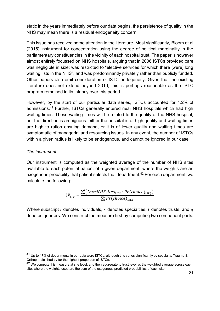static in the years immediately before our data begins, the persistence of quality in the NHS may mean there is a residual endogeneity concern.

This issue has received some attention in the literature. Most significantly, Bloom et al (2015) instrument for concentration using the degree of political marginality in the parliamentary constituencies in the vicinity of each hospital trust. The paper is however almost entirely focussed on NHS hospitals, arguing that in 2006 ISTCs provided care was negligible in size; was restricted to "elective services for which there [were] long waiting lists in the NHS", and was predominantly privately rather than publicly funded. Other papers also omit consideration of ISTC endogeneity. Given that the existing literature does not extend beyond 2010, this is perhaps reasonable as the ISTC program remained in its infancy over this period.

However, by the start of our particular data series, ISTCs accounted for 4.2% of admissions.<sup>41</sup> Further, ISTCs generally entered near NHS hospitals which had high waiting times. These waiting times will be related to the quality of the NHS hospital, but the direction is ambiguous: either the hospital is of high quality and waiting times are high to ration ensuing demand, or it is of lower quality and waiting times are symptomatic of managerial and resourcing issues. In any event, the number of ISTCs within a given radius is likely to be endogenous, and cannot be ignored in our case.

#### *The instrument*

Our instrument is computed as the weighted average of the number of NHS sites available to each potential patient of a given department, where the weights are an exogenous probability that patient selects that department.<sup>42</sup> For each department, we calculate the following:

$$
IV_{stq} = \frac{\sum_{i}^{I}(NumNHS sites_{istq} \cdot Pr(choice)_{istq})}{\sum_{i}^{I} Pr(choice)_{istq}}
$$

Where subscript  $i$  denotes individuals,  $s$  denotes specialties,  $t$  denotes trusts, and  $q$ denotes quarters. We construct the measure first by computing two component parts:

<sup>41</sup> Up to 17% of departments in our data were ISTCs, although this varies significantly by specialty: Trauma & Orthopaedics had by far the highest proportion of ISTCs.

<sup>&</sup>lt;sup>42</sup> We compute this measure at site level, and then aggregate to trust level as the weighted average across each site, where the weights used are the sum of the exogenous predicted probabilities of each site.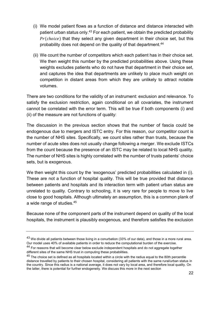- (i) We model patient flows as a function of distance and distance interacted with patient urban status only.<sup>43</sup> For each patient, we obtain the predicted probability  $Pr(choice)$  that they select any given department in their choice set, but this probability does not depend on the quality of that department. 44
- (ii) We count the number of competitors which each patient has in their choice set. We then weight this number by the predicted probabilities above. Using these weights excludes patients who do not have that department in their choice set, and captures the idea that departments are unlikely to place much weight on competition in distant areas from which they are unlikely to attract notable volumes.

There are two conditions for the validity of an instrument: exclusion and relevance. To satisfy the exclusion restriction, again conditional on all covariates, the instrument cannot be correlated with the error term. This will be true if both components (i) and (ii) of the measure are not functions of quality:

The discussion in the previous section shows that the number of fascia could be endogenous due to mergers and ISTC entry. For this reason, our competitor count is the number of NHS sites. Specifically, we count sites rather than trusts, because the number of acute sites does not usually change following a merger. We exclude ISTCs from the count because the presence of an ISTC may be related to local NHS quality. The number of NHS sites is highly correlated with the number of trusts patients' choice sets, but is exogenous.

We then weight this count by the 'exogenous' predicted probabilities calculated in (i). These are not a function of hospital quality. This will be true provided that distance between patients and hospitals and its interaction term with patient urban status are unrelated to quality. Contrary to schooling, it is very rare for people to move to live close to good hospitals. Although ultimately an assumption, this is a common plank of a wide range of studies. 45

Because none of the component parts of the instrument depend on quality of the local hospitals, the instrument is plausibly exogenous, and therefore satisfies the exclusion

 $43$  We divide all patients between those living in a conurbation (33% of our data), and those in a more rural area. Our model uses 40% of available patients in order to reduce the computational burden of the exercise.

<sup>44</sup> For reasons that will become clear below exclude independent hospitals and do not aggregate together different sites of the same NHS trust in computing these probabilities.

 $45$  The choice set is defined as all hospitals located within a circle with the radius equal to the 80th percentile distance travelled by patients to their chosen hospital, considering all patients with the same rural/urban status in the country. Since this radius is a national average, it does not vary by local area, and therefore local quality. On the latter, there is potential for further endogeneity. We discuss this more in the next section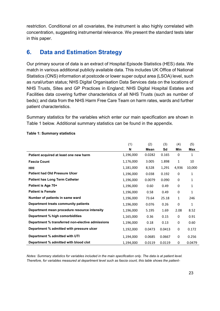restriction. Conditional on all covariates, the instrument is also highly correlated with concentration, suggesting instrumental relevance. We present the standard tests later in this paper.

## **6. Data and Estimation Strategy**

Our primary source of data is an extract of Hospital Episode Statistics (HES) data. We match in various additional publicly available data. This includes UK Office of National Statistics (ONS) information at postcode or lower super output area (LSOA) level, such as rural/urban status; NHS Digital Organisation Data Services data on the locations of NHS Trusts, Sites and GP Practices in England; NHS Digital Hospital Estates and Facilities data covering further characteristics of all NHS Trusts (such as number of beds); and data from the NHS Harm Free Care Team on harm rates, wards and further patient characteristics.

Summary statistics for the variables which enter our main specification are shown in Table 1 below. Additional summary statistics can be found in the appendix.

|                                                  | (1)       | (2)    | (3)    | (4)   | (5)          |
|--------------------------------------------------|-----------|--------|--------|-------|--------------|
|                                                  | N         | Mean   | Sd     | Min   | Max          |
| Patient acquired at least one new harm           | 1,196,000 | 0.0282 | 0.165  | 0     | 1            |
| <b>Fascia Count</b>                              | 1,176,000 | 3.005  | 1.898  | 1     | 10           |
| <b>HHI</b>                                       | 1,181,000 | 8,528  | 1,291  | 4,936 | 10,000       |
| <b>Patient had Old Pressure Ulcer</b>            | 1,196,000 | 0.038  | 0.192  | 0     | 1            |
| <b>Patient has Long Term Catheter</b>            | 1,196,000 | 0.0079 | 0.090  | 0     | 1            |
| Patient is Age 70+                               | 1,196,000 | 0.60   | 0.49   | 0     | $\mathbf{1}$ |
| <b>Patient is Female</b>                         | 1,196,000 | 0.58   | 0.49   | 0     | 1            |
| Number of patients in same ward                  | 1,196,000 | 73.64  | 25.18  | 1     | 246          |
| Department treats community patients             | 1,196,000 | 0.076  | 0.26   | 0     | 1            |
| Department mean procedure resource intensity     | 1,196,000 | 5.195  | 1.69   | 2.08  | 8.52         |
| Department % high comorbidities                  | 1,165,000 | 0.36   | 0.15   | 0     | 0.91         |
| Department % transferred non-elective admissions | 1,196,000 | 0.18   | 0.13   | 0     | 0.60         |
| Department % admitted with pressure ulcer        | 1,192,000 | 0.0473 | 0.0413 | 0     | 0.172        |
| Department % admitted with UTI                   | 1,194,000 | 0.0685 | 0.0667 | 0     | 0.256        |
| Department % admitted with blood clot            | 1,194,000 | 0.0119 | 0.0119 | 0     | 0.0479       |

#### **Table 1: Summary statistics**

*Notes: Summary statistics for variables included in the main specification only. The data is at patient level. Therefore, for variables measured at department level such as fascia count, this table shows the patient-*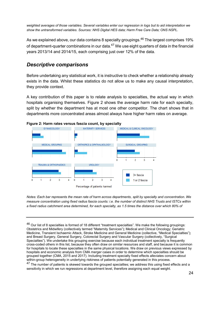*weighted averages of those variables. Several variables enter our regression in logs but to aid interpretation we show the untransformed variables. Sources: NHS Digital HES data; Harm Free Care Data; ONS NSPL.*

As we explained above, our data contains 8 specialty groupings.<sup>46</sup> The largest comprises 19% of department-quarter combinations in our data. $47$  We use eight quarters of data in the financial years 2013/14 and 2014/15, each comprising just over 12% of the data.

## *Descriptive comparisons*

Before undertaking any statistical work, it is instructive to check whether a relationship already exists in the data. Whilst these statistics do not allow us to make any causal interpretation, they provide context.

A key contribution of this paper is to relate analysis to specialties, the actual way in which hospitals organising themselves. Figure 2 shows the average harm rate for each specialty, split by whether the department has at most one other competitor. The chart shows that in departments more concentrated areas almost always have higher harm rates on average.



**Figure 2: Harm rates versus fascia count, by specialty** 

*Notes: Each bar represents the mean rate of harm across departments, split by specialty and concentration. We measure concentration using fixed radius fascia counts: i.e. the number of distinct NHS Trusts and ISTCs within a fixed radius catchment area determined, for each specialty, as 1.5 times the distance over which 80% of* 

<sup>47</sup> The number of patients is skewed towards the grouped specialties; we address this using fixed effects and a sensitivity in which we run regressions at department level, therefore assigning each equal weight.

<sup>&</sup>lt;sup>46</sup> Our list of 8 specialties is formed of 18 different "treatment specialties". We make the following groupings: Obstetrics and Midwifery (collectively termed "Maternity Services"); Medical and Clinical Oncology; Geriatric Medicine, Transient Ischaemic Attack, Stroke Medicine and General Medicine (collective, "Medical Specialties"); and Breast Surgery, General Surgery, Colorectal Surgery and Vascular Surgery (collectively, "Surgical Specialties"). We undertake this grouping exercise because each individual treatment specialty is frequently cross-coded others in this list, because they often draw on similar resources and staff, and because it is common for hospitals to locate these specialties in the same physical locations. We draw on previous views expressed by hospitals and economic analysis from CMA merger cases in order to determine which specialties should be grouped together (CMA, 2015 and 2017). Including treatment specialty fixed effects alleviates concern about within-group heterogeneity in underlying riskiness of patients potentially generated in this process.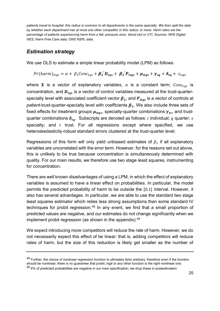*patients travel to hospital: this radius is common to all departments in the same specialty. We then split the data by whether each department has at most one other competitor in this radius, or more. Harm rates are the percentage of patients experiencing harm from a fall, pressure ulcer, blood clot or UTI. Sources: NHS Digital HES; Harm Free Care data; ONS NSPL data.*

## *Estimation strategy*

We use OLS to estimate a simple linear probability model (LPM) as follows.

$$
Pr(harm)_{itqs} = \alpha + \beta_1 Conc_{tags} + \beta_2' D_{tags} + \beta_3' P_{itqs} + \mu_{itqs} + \gamma_{sq} + \delta_{tq} + \varepsilon_{itqs}
$$

where X is a vector of explanatory variables,  $\alpha$  is a constant term; Conctas is concentration, and  $D_{tas}$  is a vector of control variables measured at the trust-quarterspecialty level with associated coefficient vector  $\beta_2$ ; and  $P_{itas}$  is a vector of controls at *patient*-trust-quarter-specialty level with coefficients  $\beta_3$ . We also include three sets of fixed effects for treatment groups  $\mu_{itas}$ , specialty-quarter combinations  $\gamma_{ts}$ , and trustquarter combinations  $\delta_{tq}$ . Subscripts are denoted as follows: *i* individual; q quarter; *s* specialty; and  $t$  trust. For all regressions except where specified, we use heteroskedasticity-robust standard errors clustered at the trust-quarter level.

Regressions of this form will only yield unbiased estimates of  $\beta_1$  if all explanatory variables are uncorrelated with the error term. However, for the reasons set out above, this is unlikely to be true because concentration is simultaneously determined with quality. For our main results, we therefore use two stage least squares, instrumenting for concentration.

There are well known disadvantages of using a LPM, in which the effect of explanatory variables is assumed to have a linear effect on probabilities. In particular, the model permits the predicted probability of harm to be outside the [0,1] interval. However, it also has several advantages. In particular, we are able to use the standard two stage least squares estimator which relies less strong assumptions than some standard IV techniques for probit regression. $48$  In any event, we find that a small proportion of predicted values are negative, and our estimates do not change significantly when we implement probit regression (as shown in the appendix). $49$ 

We expect introducing more competitors will reduce the rate of harm. However, we do not necessarily expect this effect of be linear: that is, adding competitors will reduce rates of harm, but the size of this reduction is likely get smaller as the number of

<sup>48</sup> Further, the choice of nonlinear regression function is ultimately fairly arbitrary: therefore even if the function should be nonlinear, there is no guarantee that probit, logit or any other function is the right nonlinear one. 49 6% of predicted probabilities are negative in our main specification; we drop these in postestimation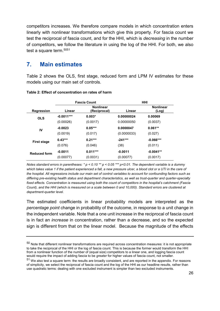competitors increases. We therefore compare models in which concentration enters linearly with nonlinear transformations which give this property. For fascia count we test the reciprocal of fascia count, and for the HHI, which is *decreasing* in the number of competitors, we follow the literature in using the log of the HHI. For both, we also test a square term.<sup>5051</sup>

## **7. Main estimates**

Table 2 shows the OLS, first stage, reduced form and LPM IV estimates for these models using our main set of controls.

|                     | <b>Fascia Count</b> |                                  |             | <b>HHI</b>                |
|---------------------|---------------------|----------------------------------|-------------|---------------------------|
| <b>Regression</b>   | Linear              | <b>Nonlinear</b><br>(Reciprocal) | Linear      | <b>Nonlinear</b><br>(Log) |
| <b>OLS</b>          | $-0.0011***$        | $0.003*$                         | 0.00000024  | 0.00069                   |
|                     | (0.00026)           | (0.0017)                         | 0.00000050  | (0.0037)                  |
| IV                  | $-0.0023$           | $0.05***$                        | 0.0000047   | $0.061**$                 |
|                     | (0.0019)            | (0.017)                          | (0.0000033) | (0.027)                   |
| <b>First stage</b>  | $0.43***$           | $0.21***$                        | $-241***$   | $-0.066***$               |
|                     | (0.076)             | (0.046)                          | (38)        | (0.011)                   |
| <b>Reduced form</b> | $-0.0011$           | $0.011***$                       | $-0.0011$   | $-0.0041**$               |
|                     | (0.00077)           | (0.0031)                         | (0.00077)   | (0.0017)                  |

#### **Table 2: Effect of concentration on rates of harm**

*Notes standard errors in parentheses: \* p < 0.10 \*\* p < 0.05 \*\*\* p<0.01. The dependent variable is a dummy which takes value 1 if the patient experienced a fall, a new pressure ulcer, a blood clot or a UTI in the care of the hospital. All regressions include our main set of control variables to account for confounding factors such as differing pre-existing health status and department characteristics, as well as trust-quarter and quarter-specialty fixed effects. Concentration is measured using both the count of competitors in the hospital's catchment (Fascia Count), and the HHI (which is measured on a scale between 0 and 10,000). Standard errors are clustered at department-quarter level.*

The estimated coefficients in linear probability models are interpreted as the *percentage point* change in probability of the outcome, in response to a unit change in the independent variable. Note that a one unit increase in the reciprocal of fascia count is in fact an *increase* in concentration, rather than a decrease, and so the expected sign is different from that on the linear model. Because the magnitude of the effects

 $50$  Note that different nonlinear transformations are required across concentration measures: it is not appropriate to take the reciprocal of the HHI or the log of fascia count. This is because the former would transform the HHI from a nonlinear function of the number of (equal size) competitors to a linear one, and logging fascia count would require the impact of adding fascia to be *greater* for higher values of fascia count, not smaller.

<sup>51</sup> We also test a square term: the results are broadly consistent, and are reported in the appendix. For reasons of simplicity, we select the reciprocal of fascia count and the log of the HHI as our headline results, rather than use quadratic terms: dealing with one excluded instrument is simpler than two excluded instruments.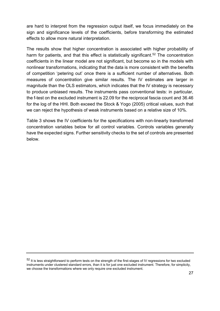are hard to interpret from the regression output itself, we focus immediately on the sign and significance levels of the coefficients, before transforming the estimated effects to allow more natural interpretation.

The results show that higher concentration is associated with higher probability of harm for patients, and that this effect is statistically significant.<sup>52</sup> The concentration coefficients in the linear model are not significant, but become so in the models with nonlinear transformations, indicating that the data is more consistent with the benefits of competition 'petering out' once there is a sufficient number of alternatives. Both measures of concentration give similar results. The IV estimates are larger in magnitude than the OLS estimators, which indicates that the IV strategy is necessary to produce unbiased results. The instruments pass conventional tests: in particular, the f-test on the excluded instrument is 22.09 for the reciprocal fascia count and 36.46 for the log of the HHI. Both exceed the Stock & Yogo (2005) critical values, such that we can reject the hypothesis of weak instruments based on a relative size of 10%.

Table 3 shows the IV coefficients for the specifications with non-linearly transformed concentration variables below for all control variables. Controls variables generally have the expected signs. Further sensitivity checks to the set of controls are presented below.

<sup>52</sup> It is less straightforward to perform tests on the strength of the first-stages of IV regressions for two excluded instruments under clustered standard errors, than it is for just one excluded instrument. Therefore, for simplicity, we choose the transformations where we only require one excluded instrument.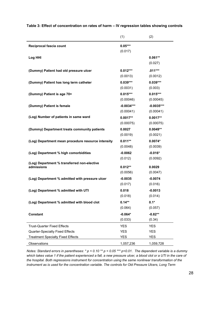|                                                    | (1)          | (2)                  |
|----------------------------------------------------|--------------|----------------------|
| Reciprocal fascia count                            | $0.05***$    |                      |
|                                                    | (0.017)      |                      |
| Log HHI                                            |              | $0.061**$            |
|                                                    |              | (0.027)              |
| (Dummy) Patient had old pressure ulcer             | $0.012***$   | $.011***$            |
|                                                    | (0.0013)     | (0.0012)             |
| (Dummy) Patient has long term catheter             | $0.039***$   | $0.039***$           |
|                                                    | (0.0031)     | (0.003)              |
| (Dummy) Patient is age 70+                         | $0.015***$   | $0.015***$           |
|                                                    | (0.00046)    | (0.00045)            |
| (Dummy) Patient is female                          | $-0.0034***$ | $-0.0035***$         |
|                                                    | (0.00041)    | (0.00041)            |
| (Log) Number of patients in same ward              | $0.0017**$   | $0.0017**$           |
|                                                    | (0.00075)    | (0.00075)            |
| (Dummy) Department treats community patients       | 0.0027       | $0.0049**$           |
|                                                    | (0.0019)     | (0.0021)             |
| (Log) Department mean procedure resource intensity | $0.011***$   | $0.0074*$            |
|                                                    | (0.0048)     | (0.0039)             |
| (Log) Department % high comorbidities              | $-0.0062$    | $-0.016*$            |
|                                                    | (0.012)      | (0.0092)             |
| (Log) Department % transferred non-elective        |              |                      |
| admissions                                         | $0.012**$    | 0.0029               |
|                                                    | (0.0056)     | (0.0047)             |
| (Log) Department % admitted with pressure ulcer    | $-0.0035$    | $-0.0074$            |
|                                                    | (0.017)      | (0.016)              |
| (Log) Department % admitted with UTI               | 0.018        | $-0.0013$<br>(0.014) |
|                                                    | (0.018)      |                      |
| (Log) Department % admitted with blood clot        | $0.14***$    | $0.1*$               |
|                                                    | (0.064)      | (0.057)              |
| <b>Constant</b>                                    | $-0.064*$    | $-0.82**$            |
|                                                    | (0.033)      | (0.34)               |
| <b>Trust-Quarter Fixed Effects</b>                 | <b>YES</b>   | <b>YES</b>           |
| <b>Quarter-Specialty Fixed Effects</b>             | <b>YES</b>   | <b>YES</b>           |
| <b>Treatment Specialty Fixed Effects</b>           | <b>YES</b>   | YES                  |
| Observations                                       | 1,057,236    | 1,059,728            |

**Table 3: Effect of concentration on rates of harm – IV regression tables showing controls**

*Notes: Standard errors in parentheses: \* p < 0.10 \*\* p < 0.05 \*\*\* p<0.01. The dependent variable is a dummy which takes value 1 if the patient experienced a fall, a new pressure ulcer, a blood clot or a UTI in the care of the hospital. Both regressions instrument for concentration using the same nonlinear transformation of the instrument as is used for the concentration variable. The controls for Old Pressure Ulcers, Long Term*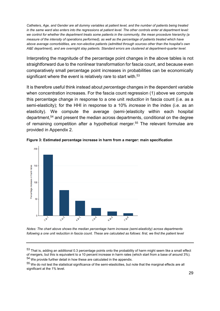*Catheters, Age, and Gender are all dummy variables at patient level, and the number of patients being treated in the same ward also enters into the regressions at patient level. The other controls enter at department level: we control for whether the department treats some patients in the community, the mean procedure hierarchy (a measure of the intensity of operations performed), as well as the percentage of patients treated which have above average comorbidities, are non-elective patients (admitted through sources other than the hospital's own A&E department), and are overnight stay patients. Standard errors are clustered at department-quarter level.*

Interpreting the magnitude of the percentage point changes in the above tables is not straightforward due to the nonlinear transformation for fascia count, and because even comparatively small percentage point increases in probabilities can be economically significant where the event is relatively rare to start with. 53

It is therefore useful think instead about *percentage* changes in the dependent variable when concentration increases. For the fascia count regression (1) above we compute this percentage change in response to a one unit *reduction* in fascia count (i.e. as a semi-elasticity); for the HHI in response to a 10% *increase* in the index (i.e. as an elasticity). We compute the average (semi-)elasticity within each hospital department, <sup>54</sup> and present the median across departments, conditional on the degree of remaining competition after a hypothetical merger.<sup>55</sup> The relevant formulae are provided in Appendix 2.





*Notes: The chart above shows the median percentage harm increase (semi-elasticity) across departments following a one unit reduction in fascia count. These are calculated as follows: first, we find the patient level* 

55 We do not test the statistical significance of the semi-elasticities, but note that the marginal effects are all significant at the 1% level.

 $53$  That is, adding an additional 0.3 percentage points onto the probability of harm might seem like a small effect of mergers, but this is equivalent to a 10 percent increase in harm rates (which start from a base of around 3%). <sup>54</sup> We provide further detail in how these are calculated in the appendix.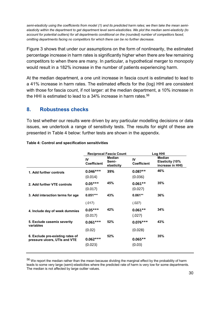*semi-elasticity using the coefficients from model (1) and its predicted harm rates; we then take the mean semielasticity within the department to get department level semi-elasticities. We plot the median semi-elasticity (to account for potential outliers) for all departments conditional on the (rounded) number of competitors faced, omitting departments facing no competitors for which there can be no further decrease.*

Figure 3 shows that under our assumptions on the form of nonlinearity, the estimated percentage increase in harm rates is significantly higher when there are few remaining competitors to when there are many. In particular, a hypothetical merger to monopoly would result in a 182% increase in the number of patients experiencing harm.

At the median department, a one unit increase in fascia count is estimated to lead to a 41% increase in harm rates. The estimated effects for the (log) HHI are consistent with those for fascia count, if not larger: at the median department, a 10% increase in the HHI is estimated to lead to a 34% increase in harm rates.<sup>56</sup>

### **8. Robustness checks**

To test whether our results were driven by any particular modelling decisions or data issues, we undertook a range of sensitivity tests. The results for eight of these are presented in Table 4 below: further tests are shown in the appendix.

|                                                                   |                          | <b>Reciprocal Fascia Count</b>       | Log HHI                  |                                               |  |
|-------------------------------------------------------------------|--------------------------|--------------------------------------|--------------------------|-----------------------------------------------|--|
|                                                                   | IV<br><b>Coefficient</b> | <b>Median</b><br>Semi-<br>elasticity | IV<br><b>Coefficient</b> | Median<br>Elasticity (10%<br>increase in HHI) |  |
| 1. Add further controls                                           | $0.046***$<br>(0.014)    | 39%                                  | $0.087**$<br>(0.036)     | 46%                                           |  |
| 2. Add further VTE controls                                       | $0.05***$<br>(0.017)     | 45%                                  | $0.061**$<br>(0.027)     | 35%                                           |  |
| 3. Add interaction terms for age                                  | $0.051***$               | 43%                                  | $0.061**$                | 36%                                           |  |
|                                                                   | (.017)                   |                                      | (.027)                   |                                               |  |
| 4. Include day of week dummies                                    | $0.05***$<br>(0.017)     | 42%                                  | $0.061**$<br>(.027)      | 34%                                           |  |
| 5. Exclude casemix severity<br>variables                          | $0.061***$               | 52%                                  | $0.076***$               | 43%                                           |  |
|                                                                   | (0.02)                   |                                      | (0.028)                  |                                               |  |
| 6. Exclude pre-existing rates of<br>pressure ulcers, UTIs and VTE | $0.062***$<br>(0.023)    | 52%                                  | $0.065**$<br>(0.03)      | 35%                                           |  |

#### **Table 4: Control and specification sensitivities**

56 We report the median rather than the mean because dividing the marginal effect by the probability of harm leads to some very large (semi)-elasticities where the predicted rate of harm is very low for some departments. The median is not affected by large outlier values.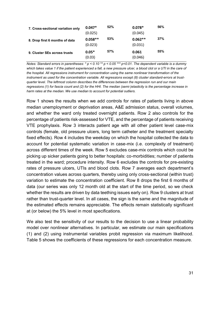| 7. Cross-sectional variation only | $0.047*$<br>(0.025)  | 52% | $0.078*$<br>(0.045)  | 56% |
|-----------------------------------|----------------------|-----|----------------------|-----|
| 8. Drop first 6 months of data    | $0.058**$<br>(0.023) | 53% | $0.062**$<br>(0.031) | 37% |
| 9. Cluster SEs across trusts      | $0.05*$<br>(0.03)    | 57% | 0.061<br>(0.046)     | 55% |

*Notes: Standard errors in parentheses: \* p < 0.10 \*\* p < 0.05 \*\*\* p<0.01. The dependent variable is a dummy*  which takes value 1 if the patient experienced a fall, a new pressure ulcer, a blood clot or a UTI in the care of *the hospital. All regressions instrument for concentration using the same nonlinear transformation of the instrument as used for the concentration variable. All regressions except (8) cluster standard-errors at trustquarter level. The leftmost column describes the differences between the regression run and our main regressions (1) for fascia count and (2) for the HHI. The median (semi-)elasticity is the percentage increase in harm rates at the median. We use median to account for potential outliers.*

Row 1 shows the results when we add controls for rates of patients living in above median unemployment or deprivation areas, A&E admission status, overall volumes, and whether the ward only treated overnight patients. Row 2 also controls for the percentage of patients risk-assessed for VTE, and the percentage of patients receiving VTE prophylaxis. Row 3 interacts patient age with all other patient level case-mix controls (female, old pressure ulcers, long term catheter and the treatment specialty fixed effects). Row 4 includes the weekday on which the hospital collected the data to account for potential systematic variation in case-mix (i.e. complexity of treatment) across different times of the week. Row 5 excludes case-mix controls which could be picking up sicker patients going to better hospitals: co-morbidities; number of patients treated in the ward; procedure intensity. Row 6 excludes the controls for pre-existing rates of pressure ulcers, UTIs and blood clots. Row 7 averages each department's concentration values across quarters, thereby using only cross-sectional (within trust) variation to estimate the concentration coefficient. Row 8 drops the first 6 months of data (our series was only 12 month old at the start of the time period, so we check whether the results are driven by data teething issues early on). Row 9 clusters at trust rather than trust-quarter level. In all cases, the sign is the same and the magnitude of the estimated effects remains appreciable. The effects remain statistically significant at (or below) the 5% level in most specifications.

We also test the sensitivity of our results to the decision to use a linear probability model over nonlinear alternatives. In particular, we estimate our main specifications (1) and (2) using instrumental variables probit regression via maximum likelihood. Table 5 shows the coefficients of these regressions for each concentration measure.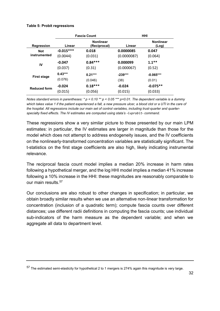#### **Table 5: Probit regressions**

|                     | <b>Fascia Count</b> |                                  |             | HHI                       |
|---------------------|---------------------|----------------------------------|-------------|---------------------------|
| <b>Regression</b>   | Linear              | <b>Nonlinear</b><br>(Reciprocal) | Linear      | <b>Nonlinear</b><br>(Log) |
| <b>Not</b>          | $-0.015***$         | 0.018                            | 0.0000085   | 0.047                     |
| instrumented        | (0.0044)            | (0.031)                          | (0.0000087) | (0.064)                   |
| IV                  | $-0.047$            | $0.84***$                        | 0.000099    | $1.1***$                  |
|                     | (0.037)             | (0.31)                           | (0.000067)  | (0.52)                    |
| <b>First stage</b>  | $0.43***$           | $0.21***$                        | $-239***$   | $-0.065***$               |
|                     | (0.076)             | (0.046)                          | (38)        | (0.01)                    |
| <b>Reduced form</b> | $-0.024$            | $0.18***$                        | $-0.024$    | $-0.075**$                |
|                     | (0.015)             | (0.056)                          | (0.015)     | (0.033)                   |

*Notes standard errors in parentheses: \* p < 0.10 \*\* p < 0.05 \*\*\* p<0.01. The dependent variable is a dummy*  which takes value 1 if the patient experienced a fall, a new pressure ulcer, a blood clot or a UTI in the care of *the hospital. All regressions include our main set of control variables, including trust-quarter and quarterspecialty fixed effects. The IV estimates are computed using stata's -ivprobit- command.*

These regressions show a very similar picture to those presented by our main LPM estimates: in particular, the IV estimates are larger in magnitude than those for the model which does not attempt to address endogeneity issues, and the IV coefficients on the nonlinearly-transformed concentration variables are statistically significant. The t-statistics on the first stage coefficients are also high, likely indicating instrumental relevance.

The reciprocal fascia count model implies a median 20% increase in harm rates following a hypothetical merger, and the log HHI model implies a median 41% increase following a 10% increase in the HHI: these magnitudes are reasonably comparable to our main results.<sup>57</sup>

Our conclusions are also robust to other changes in specification; in particular, we obtain broadly similar results when we use an alternative non-linear transformation for concentration (inclusion of a quadratic term); compute fascia counts over different distances; use different radii definitions in computing the fascia counts; use individual sub-indicators of the harm measure as the dependent variable; and when we aggregate all data to department level.

<sup>57</sup> The estimated semi-elasticity for hypothetical 2 to 1 mergers is 274% again this magnitude is very large.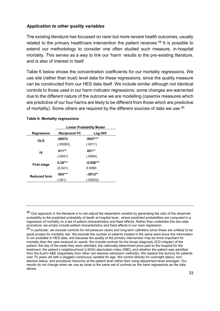#### *Application to other quality variables*

The existing literature has focussed on rarer but more severe health outcomes, usually related to the primary healthcare intervention the patient receives.<sup>58</sup> It is possible to extend our methodology to consider one often studied such measure, in-hospital mortality. This serves as a way to link our 'harm' results to the pre-existing literature, and is also of interest in itself.

Table 6 below shows the concentration coefficients for our mortality regressions. We use site (rather than trust) level data for these regressions, since the quality measure can be constructed from our HES data itself. We include similar although not identical controls to those used in our harm indicator regressions: some changes are warranted due to the different nature of the outcome we are modelling (casemix measures which are predictive of our four harms are likely to be different from those which are predictive of mortality). Some others are required by the different sources of data we use.<sup>59</sup>

|                     | <b>Linear Probability Model</b> |                        |  |  |
|---------------------|---------------------------------|------------------------|--|--|
| <b>Regression</b>   | <b>Reciprocal FC</b>            | Log HHI                |  |  |
| <b>OLS</b>          | .00074<br>(.00063)              | $.0047***$<br>(.0011)  |  |  |
| IV                  | $.011**$<br>(.0041)             | $.021**$<br>(.0094)    |  |  |
| <b>First stage</b>  | $0.28***$<br>(0.041)            | $-0.058***$<br>0.0090  |  |  |
| <b>Reduced form</b> | $.003***$<br>(.001)             | $-.0012**$<br>(.00053) |  |  |

#### **Table 6: Mortality regressions**

 $58$  One approach in the literature is to risk-adjust the dependent variable by generating the ratio of the observed probability to the predicted probability of death at hospital level , where predicted probabilities are computed in a regression of mortality on a set of patient characteristics and fixed effects. Rather than undertake this two-step procedure, we simply include patient characteristics and fixed effects in our main regression.

 $59$  In particular, we exclude controls for old pressure ulcers and long term catheters since these are unlikely to be good proxies for mortality risk. We exclude the number of patients treated in the same ward since this information is not available in HES data, and because the quality of the primary intervention may be more important for mortality than the care received on wards. We include controls for the broad diagnosis (ICD chapter) of the patient; the day of the week they were admitted, the nationally-determined price paid to the hospital for the treatment, the patient's neighbourhood (LSOA) deprivation index (IMD), and whether the patient was admitted from the trust's A&E (separately from other non-elective admission methods). We replace the dummy for patients over 70 years old with a (logged) continuous variable for age. We control directly for overnight status, nonelective status, and procedure hierarchy at the patient level rather than using department level averages. Our results do not change when we use as close to the same set of controls as the harm regressions as the data allows.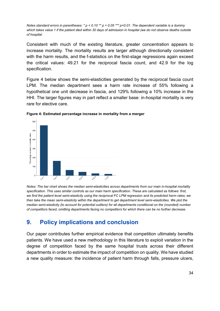*Notes standard errors in parentheses: \* p < 0.10 \*\* p < 0.05 \*\*\* p<0.01. The dependent variable is a dummy*  which takes value 1 if the patient died within 30 days of admission in hospital (we do not observe deaths outside *of hospital.* 

Consistent with much of the existing literature, greater concentration appears to increase mortality. The mortality results are larger although directionally consistent with the harm results, and the f-statistics on the first-stage regressions again exceed the critical values: 49.21 for the reciprocal fascia count, and 42.9 for the log specification.

Figure 4 below shows the semi-elasticities generated by the reciprocal fascia count LPM. The median department sees a harm rate increase of 55% following a hypothetical one unit decrease in fascia, and 129% following a 10% increase in the HHI. The larger figures may in part reflect a smaller base: in-hospital mortality is very rare for elective care.





*Notes: The bar chart shows the median semi-elasticities across departments from our main in-hospital mortality specification. This uses similar controls as our main harm specification. These are calculated as follows: first, we find the patient level semi-elasticity using the reciprocal FC LPM regression and its predicted harm rates; we*  then take the mean semi-elasticity within the department to get department level semi-elasticities. We plot the *median semi-elasticity (to account for potential outliers) for all departments conditional on the (rounded) number of competitors faced, omitting departments facing no competitors for which there can be no further decrease.*

## **9. Policy implications and conclusion**

Our paper contributes further empirical evidence that competition ultimately benefits patients. We have used a new methodology in this literature to exploit variation in the degree of competition faced by the same hospital trusts across their different departments in order to estimate the impact of competition on quality. We have studied a new quality measure: the incidence of patient harm through falls, pressure ulcers,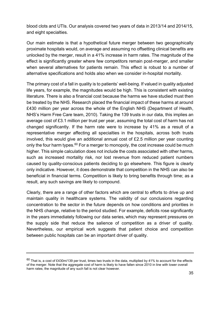blood clots and UTIs. Our analysis covered two years of data in 2013/14 and 2014/15, and eight specialties.

Our main estimate is that a hypothetical future merger between two geographically proximate hospitals would, on average and assuming no offsetting clinical benefits are unlocked by the merger, result in a 41% increase in harm rates. The magnitude of the effect is significantly greater where few competitors remain post-merger, and smaller when several alternatives for patients remain. This effect is robust to a number of alternative specifications and holds also when we consider in-hospital mortality.

The primary cost of a fall in quality is to patients' well-being. If valued in quality adjusted life years, for example, the magnitudes would be high. This is consistent with existing literature. There is also a financial cost because the harms we have studied must then be treated by the NHS. Research placed the financial impact of these harms at around £430 million per year across the whole of the English NHS (Department of Health, NHS's Harm Free Care team, 2010). Taking the 139 trusts in our data, this implies an average cost of £3.1 million per trust per year, assuming the total cost of harm has not changed significantly. If the harm rate were to increase by 41% as a result of a representative merger affecting all specialties in the hospitals, across both trusts involved, this would give an additional annual cost of £2.5 million per year counting only the four harm types.<sup>60</sup> For a merger to monopoly, the cost increase could be much higher. This simple calculation does not include the costs associated with other harms, such as increased mortality risk, nor lost revenue from reduced patient numbers caused by quality-conscious patients deciding to go elsewhere. This figure is clearly only indicative. However, it does demonstrate that competition in the NHS can also be beneficial in financial terms. Competition is likely to bring benefits through time; as a result, any such savings are likely to compound.

Clearly, there are a range of other factors which are central to efforts to drive up and maintain quality in healthcare systems. The validity of our conclusions regarding concentration to the sector in the future depends on how conditions and priorities in the NHS change, relative to the period studied. For example, deficits rose significantly in the years immediately following our data series, which may represent pressures on the supply side that reduce the salience of competition as a driver of quality. Nevertheless, our empirical work suggests that patient choice and competition between public hospitals can be an important driver of quality.

 $60$  That is, a cost of £430m/139 per trust, times two trusts in the data, multiplied by 41% to account for the effects of the merger. Note that the aggregate cost of harm is likely to have fallen since 2010 in line with lower overall harm rates; the magnitude of any such fall is not clear however.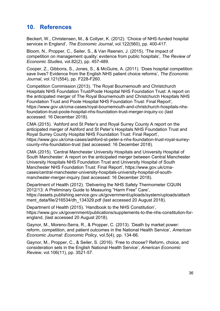## **10. References**

Beckert, W., Christensen, M., & Collyer, K. (2012). 'Choice of NHS‐funded hospital services in England', *The Economic Journal*, vol.122(560), pp. 400-417.

Bloom, N., Propper, C., Seiler, S., & Van Reenen, J. (2015). 'The impact of competition on management quality: evidence from public hospitals', *The Review of Economic Studies,* vol.82(2), pp. 457-489.

Cooper, Z., Gibbons, S., Jones, S., & McGuire, A. (2011). 'Does hospital competition save lives? Evidence from the English NHS patient choice reforms', *The Economic Journal*, vol.121(554), pp. F228-F260.

Competition Commission (2013). 'The Royal Bournemouth and Christchurch Hospitals NHS Foundation Trust/Poole Hospital NHS Foundation Trust: A report on the anticipated merger of The Royal Bournemouth and Christchurch Hospitals NHS Foundation Trust and Poole Hospital NHS Foundation Trust: Final Report', [https://www.gov.uk/cma-cases/royal-bournemouth-and-christchurch-hospitals-nhs](https://www.gov.uk/cma-cases/royal-bournemouth-and-christchurch-hospitals-nhs-foundation-trust-poole-hospital-nhs-foundation-trust-merger-inquiry-cc)[foundation-trust-poole-hospital-nhs-foundation-trust-merger-inquiry-cc](https://www.gov.uk/cma-cases/royal-bournemouth-and-christchurch-hospitals-nhs-foundation-trust-poole-hospital-nhs-foundation-trust-merger-inquiry-cc) (last accessed: 16 December 2018).

CMA (2015). 'Ashford and St Peter's and Royal Surrey County A report on the anticipated merger of Ashford and St Peter's Hospitals NHS Foundation Trust and Royal Surrey County Hospital NHS Foundation Trust: Final Report', [https://www.gov.uk/cma-cases/ashford-st-peter-s-nhs-foundation-trust-royal-surrey](https://www.gov.uk/cma-cases/ashford-st-peter-s-nhs-foundation-trust-royal-surrey-county-nhs-foundation-trust)[county-nhs-foundation-trust](https://www.gov.uk/cma-cases/ashford-st-peter-s-nhs-foundation-trust-royal-surrey-county-nhs-foundation-trust) (last accessed: 16 December 2018).

CMA (2015). 'Central Manchester University Hospitals and University Hospital of South Manchester: A report on the anticipated merger between Central Manchester University Hospitals NHS Foundation Trust and University Hospital of South Manchester NHS Foundation Trust: Final Report', https://www.gov.uk/cmacases/central-manchester-university-hospitals-university-hospital-of-southmanchester-merger-inquiry (last accessed: 16 December 2018).

Department of Health (2012). 'Delivering the NHS Safety Thermometer CQUIN 2012/13: A Preliminary Guide to Measuring "Harm Free" Care', [https://assets.publishing.service.gov.uk/government/uploads/system/uploads/attach](https://assets.publishing.service.gov.uk/government/uploads/system/uploads/attachment_data/file/216534/dh_134329.pdf) [ment\\_data/file/216534/dh\\_134329.pdf](https://assets.publishing.service.gov.uk/government/uploads/system/uploads/attachment_data/file/216534/dh_134329.pdf) (last accessed 20 August 2018).

Department of Health (2015). 'Handbook to the NHS Constitution', [https://www.gov.uk/government/publications/supplements-to-the-nhs-constitution-for](https://www.gov.uk/government/publications/supplements-to-the-nhs-constitution-for-england)[england,](https://www.gov.uk/government/publications/supplements-to-the-nhs-constitution-for-england) (last accessed 20 August 2018).

Gaynor, M., Moreno-Serra, R., & Propper, C. (2013). 'Death by market power: reform, competition, and patient outcomes in the National Health Service', *American Economic Journal: Economic Policy*, vol.5(4), pp. 134-66.

Gaynor, M., Propper, C., & Seiler, S. (2016). 'Free to choose? Reform, choice, and consideration sets in the English National Health Service', *American Economic Review*, vol.106(11), pp. 3521-57.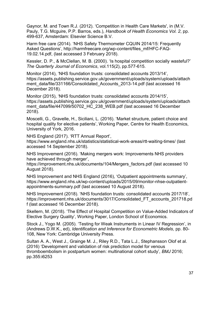Gaynor, M. and Town R.J. (2012). 'Competition in Health Care Markets', in (M.V. Pauly, T.G. Mcguire, P.P. Barros, eds.), *Handbook of Health Economics Vol. 2*, pp. 499-637, Amsterdam: Elsevier Science B.V.

Harm free care (2014). 'NHS Safety Thermometer CQUIN 2014/15: Frequently Asked Questions', [http://harmfreecare.org/wp-content/files\\_mf/HFC-FAQ-](http://harmfreecare.org/wp-content/files_mf/HFC-FAQ-19.02.14.pdf)[19.02.14.pdf,](http://harmfreecare.org/wp-content/files_mf/HFC-FAQ-19.02.14.pdf) (last accessed 3 February 2018).

Kessler, D. P., & McClellan, M. B. (2000). 'Is hospital competition socially wasteful?' *The Quarterly Journal of Economics*, vol.115(2), pp.577-615.

Monitor (2014), 'NHS foundation trusts: consolidated accounts 2013/14', [https://assets.publishing.service.gov.uk/government/uploads/system/uploads/attach](https://assets.publishing.service.gov.uk/government/uploads/system/uploads/attachment_data/file/331166/Consolidated_Accounts_2013-14.pdf) [ment\\_data/file/331166/Consolidated\\_Accounts\\_2013-14.pdf](https://assets.publishing.service.gov.uk/government/uploads/system/uploads/attachment_data/file/331166/Consolidated_Accounts_2013-14.pdf) (last accessed 16 December 2018).

Monitor (2015), 'NHS foundation trusts: consolidated accounts 2014/15', [https://assets.publishing.service.gov.uk/government/uploads/system/uploads/attach](https://assets.publishing.service.gov.uk/government/uploads/system/uploads/attachment_data/file/447099/50702_HC_238_WEB.pdf) [ment\\_data/file/447099/50702\\_HC\\_238\\_WEB.pdf](https://assets.publishing.service.gov.uk/government/uploads/system/uploads/attachment_data/file/447099/50702_HC_238_WEB.pdf) (last accessed 16 December 2018).

Moscelli, G., Gravelle, H., Siciliani, L. (2016). 'Market structure, patient choice and hospital quality for elective patients', Working Paper, Centre for Health Economics, University of York, 2016.

NHS England (2017). 'RTT Annual Report', https://www.england.nhs.uk/statistics/statistical-work-areas/rtt-waiting-times/ (last

accessed 14 September 2018).

NHS Improvement (2016). 'Making mergers work: Improvements NHS providers have achieved through merger',

[https://improvement.nhs.uk/documents/104/Mergers\\_factors.pdf](https://improvement.nhs.uk/documents/104/Mergers_factors.pdf) (last accessed 10 August 2018).

NHS Improvement and NHS England (2016), 'Outpatient appointments summary', [https://www.england.nhs.uk/wp-content/uploads/2015/09/monitor-nhse-outpatient](https://www.england.nhs.uk/wp-content/uploads/2015/09/monitor-nhse-outpatient-appointments-summary.pdf)[appointments-summary.pdf](https://www.england.nhs.uk/wp-content/uploads/2015/09/monitor-nhse-outpatient-appointments-summary.pdf) (last accessed 10 August 2018).

NHS Improvement (2018). 'NHS foundation trusts: consolidated accounts 2017/18', [https://improvement.nhs.uk/documents/3017/Consolidated\\_FT\\_accounts\\_201718.pd](https://improvement.nhs.uk/documents/3017/Consolidated_FT_accounts_201718.pdf) [f](https://improvement.nhs.uk/documents/3017/Consolidated_FT_accounts_201718.pdf) (last accessed 16 December 2018).

Skellern, M. (2018). 'The Effect of Hospital Competition on Value-Added Indicators of Elective Surgery Quality', Working Paper, London School of Economics.

Stock J., Yogo M. (2005). 'Testing for Weak Instruments in Linear IV Regression', in (Andrews D.W.K., ed), *Identification and Inference for Econometric Models,* pp. 80- 108, New York: Cambridge University Press.

Sultan A. A., West J., Grainge M. J., Riley R.D., Tata L.J., Stephansson Olof et al. (2016) 'Development and validation of risk prediction model for venous thromboembolism in postpartum women: multinational cohort study', *BMJ* 2016; pp.355:i6253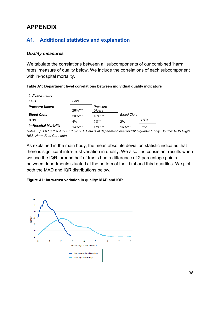## **APPENDIX**

## **A1. Additional statistics and explanation**

#### *Quality measures*

We tabulate the correlations between all subcomponents of our combined 'harm rates' measure of quality below. We include the correlations of each subcomponent with in-hospital mortality.

| Table A1: Department level correlations between individual quality indicators |  |  |  |
|-------------------------------------------------------------------------------|--|--|--|
|                                                                               |  |  |  |

| <b>Indicator name</b>        |           |                    |                    |      |
|------------------------------|-----------|--------------------|--------------------|------|
| <b>Falls</b>                 | Falls     |                    |                    |      |
| <b>Pressure Ulcers</b>       | $26\%***$ | Pressure<br>Ulcers |                    |      |
| <b>Blood Clots</b>           | $20\%***$ | $18\%***$          | <b>Blood Clots</b> |      |
| <b>UTIs</b>                  | 4%        | $9\%**$            | 2%                 | UTIs |
| <b>In-Hospital Mortality</b> | $14\%***$ | $17\%***$          | $16\%***$          | 7%*  |

*Notes: \* p < 0.10 \*\* p < 0.05 \*\*\* p<0.01. Data is at department level for 2015 quarter 1 only. Source: NHS Digital HES, Harm Free Care data.* 

As explained in the main body, the mean absolute deviation statistic indicates that there is significant intra-trust variation in quality. We also find consistent results when we use the IQR: around half of trusts had a difference of 2 percentage points between departments situated at the bottom of their first and third quartiles. We plot both the MAD and IQR distributions below.

#### **Figure A1: Intra-trust variation in quality: MAD and IQR**

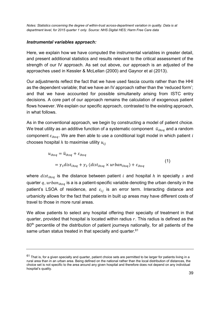*Notes: Statistics concerning the degree of within-trust across-department variation in quality. Data is at department level, for 2015 quarter 1 only. Source: NHS Digital HES; Harm Free Care data*

#### *Instrumental variables approach:*

Here, we explain how we have computed the instrumental variables in greater detail, and present additional statistics and results relevant to the critical assessment of the strength of our IV approach. As set out above, our approach is an adjusted of the approaches used in Kessler & McLellan (2000) and Gaynor et al (2013).

Our adjustments reflect the fact that we have used fascia counts rather than the HHI as the dependent variable; that we have an IV approach rather than the 'reduced form'; and that we have accounted for possible simultaneity arising from ISTC entry decisions. A core part of our approach remains the calculation of exogenous patient flows however. We explain our specific approach, contrasted to the existing approach, in what follows.

As in the conventional approach, we begin by constructing a model of patient choice. We treat utility as an additive function of a systematic component  $\bar{u}_{thsa}$  and a random component  $\varepsilon_{ihsa}$ . We are then able to use a conditional logit model in which patient i chooses hospital  $h$  to maximise utility  $u_{ij}$ 

$$
u_{ihsq} = \bar{u}_{ihsq} + \varepsilon_{ihsq}
$$
  
=  $\gamma_1 dist_{ihsq} + \gamma_2 (dist_{ihsq} \times urban_{ihsq}) + \varepsilon_{ihsq}$  (1)

where  $dist_{ihsa}$  is the distance between patient *i* and hospital *h* in specialty *s* and quarter  $q$ ,  $urban_{ihsq}$  is a is a patient-specific variable denoting the urban density in the patient's LSOA of residence, and  $\varepsilon_{ij}$  is an error term. Interacting distance and urbanicity allows for the fact that patients in built up areas may have different costs of travel to those in more rural areas.

We allow patients to select any hospital offering their specialty of treatment in that quarter, provided that hospital is located within radius  $r$ . This radius is defined as the 80<sup>th</sup> percentile of the distribution of patient journeys nationally, for all patients of the same urban status treated in that specialty and quarter.<sup>61</sup>

 $61$  That is, for a given specialty and quarter, patient choice sets are permitted to be larger for patients living in a rural area than in an urban area. Being defined on the national rather than the local distribution of distances, the choice set is not specific to the area around any given hospital and therefore does not depend on any individual hospital's quality.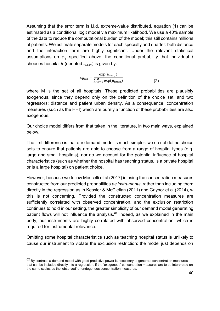Assuming that the error term is i.i.d. extreme-value distributed, equation (1) can be estimated as a conditional logit model via maximum likelihood. We use a 40% sample of the data to reduce the computational burden of the model; this still contains millions of patients. We estimate separate models for each specialty and quarter: both distance and the interaction term are highly significant. Under the relevant statistical assumptions on  $\varepsilon_{ij}$  specified above, the conditional probability that individual i chooses hospital  $h$  (denoted  $s_{ihsa}$ ) is given by:

$$
s_{ihsq} = \frac{\exp(\bar{u}_{ihsq})}{\sum_{m=0}^{M} \exp(\bar{u}_{imsq})}
$$
(2)

where M is the set of all hospitals. These predicted probabilities are plausibly exogenous, since they depend only on the definition of the choice set, and two regressors: distance and patient urban density. As a consequence, concentration measures (such as the HHI) which are purely a function of these probabilities are also exogenous.

Our choice model differs from that taken in the literature, in two main ways, explained below.

The first difference is that our demand model is much simpler: we do not define choice sets to ensure that patients are able to choose from a range of hospital types (e.g. large and small hospitals), nor do we account for the potential influence of hospital characteristics (such as whether the hospital has teaching status, is a private hospital or is a large hospital) on patient choice.

However, because we follow Moscelli et al (2017) in using the concentration measures constructed from our predicted probabilities *as instruments*, rather than including them directly in the regression as in Kessler & McClellan (2011) and Gaynor et al (2014), w this is not concerning. Provided the constructed concentration measures are sufficiently correlated with observed concentration, and the exclusion restriction continues to hold in our setting, the greater simplicity of our demand model generating patient flows will not influence the analysis.<sup>62</sup> Indeed, as we explained in the main body, our instruments are highly correlated with observed concentration, which is required for instrumental relevance.

Omitting some hospital characteristics such as teaching hospital status is unlikely to cause our instrument to violate the exclusion restriction: the model just depends on

<sup>62</sup> By contrast, a demand model with good predictive power is necessary to generate concentration measures that can be included directly into a regression, if the 'exogenous' concentration measures are to be interpreted on the same scales as the 'observed' or endogenous concentration measures.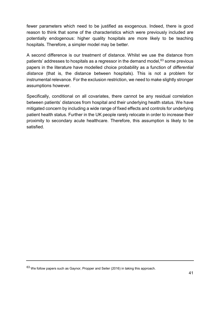fewer parameters which need to be justified as exogenous. Indeed, there is good reason to think that some of the characteristics which were previously included are potentially endogenous: higher quality hospitals are more likely to be teaching hospitals. Therefore, a simpler model may be better.

A second difference is our treatment of distance. Whilst we use the distance from patients' addresses to hospitals as a regressor in the demand model, $63$  some previous papers in the literature have modelled choice probability as a function of *differential distance* (that is, the distance between hospitals). This is not a problem for instrumental relevance. For the exclusion restriction, we need to make slightly stronger assumptions however.

Specifically, conditional on all covariates, there cannot be any residual correlation between patients' distances from hospital and their underlying health status. We have mitigated concern by including a wide range of fixed effects and controls for underlying patient health status. Further in the UK people rarely relocate in order to increase their proximity to secondary acute healthcare. Therefore, this assumption is likely to be satisfied.

<sup>63</sup> We follow papers such as Gaynor, Propper and Seiler (2016) in taking this approach.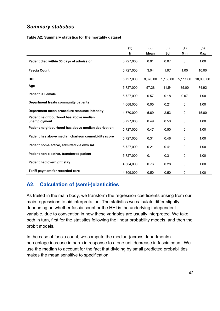## *Summary statistics*

#### **Table A2: Summary statistics for the mortality dataset**

|                                                        | (1)<br>N  | (2)<br><b>Mean</b> | (3)<br>Sd | (4)<br>Min  | (5)<br>Max |
|--------------------------------------------------------|-----------|--------------------|-----------|-------------|------------|
| Patient died within 30 days of admission               | 5,727,000 | 0.01               | 0.07      | 0           | 1.00       |
| <b>Fascia Count</b>                                    | 5,727,000 | 3.04               | 1.97      | 1.00        | 10.00      |
| <b>HHI</b>                                             | 5,727,000 | 8,370.00           | 1,180.00  | 5,111.00    | 10,000.00  |
| Age                                                    | 5,727,000 | 57.28              | 11.54     | 35.00       | 74.92      |
| <b>Patient is Female</b>                               | 5,727,000 | 0.57               | 0.18      | 0.07        | 1.00       |
| Department treats community patients                   | 4,668,000 | 0.05               | 0.21      | 0           | 1.00       |
| Department mean procedure resource intensity           | 4,370,000 | 5.69               | 2.53      | $\mathbf 0$ | 15.00      |
| Patient neighbourhood has above median<br>unemployment | 5,727,000 | 0.49               | 0.50      | $\pmb{0}$   | 1.00       |
| Patient neighbourhood has above median deprivation     | 5,727,000 | 0.47               | 0.50      | $\mathbf 0$ | 1.00       |
| Patient has above median charlson comorbidity score    | 5.727.000 | 0.31               | 0.46      | $\mathbf 0$ | 1.00       |
| Patient non-elective, admitted via own A&E             | 5.727.000 | 0.21               | 0.41      | $\mathbf 0$ | 1.00       |
| Patient non-elective, transferred patient              | 5,727,000 | 0.11               | 0.31      | $\mathbf 0$ | 1.00       |
| Patient had overnight stay                             | 4,664,000 | 0.76               | 0.28      | $\pmb{0}$   | 1.00       |
| Tariff payment for recorded care                       | 4.809.000 | 0.50               | 0.50      | $\mathbf 0$ | 1.00       |

## **A2. Calculation of (semi-)elasticities**

As trailed in the main body, we transform the regression coefficients arising from our main regressions to aid interpretation. The statistics we calculate differ slightly depending on whether fascia count or the HHI is the underlying independent variable, due to convention in how these variables are usually interpreted. We take both in turn, first for the statistics following the linear probability models, and then the probit models.

In the case of fascia count, we compute the median (across departments) percentage increase in harm in response to a one unit decrease in fascia count. We use the median to account for the fact that dividing by small predicted probabilities makes the mean sensitive to specification.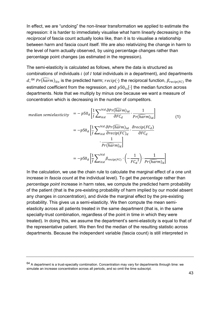In effect, we are "undoing" the non-linear transformation we applied to estimate the regression: it is harder to immediately visualise what harm linearly decreasing in the *reciprocal* of fascia count actually looks like, than it is to visualise a relationship between harm and fascia count itself. We are also relativizing the change in harm to the level of harm actually observed, by using percentage changes rather than percentage point changes (as estimated in the regression).

The semi-elasticity is calculated as follows, where the data is structured as combinations of individuals  $i$  (of  $I$  total individuals in a department), and departments d;  $^{64}$   $Pr(\widehat{harm})_{its}$  is the predicted harm;  $recip(\cdot)$  the reciprocal function,  $\beta_{recip(FC)}$  the estimated coefficient from the regression, and  $p50_{15}$  the median function across departments. Note that we multiply by minus one because we want a measure of concentration which is decreasing in the number of competitors.

$$
\text{median semielasticity} = -p50_d \left[ \frac{1}{I} \sum_{i \in d}^{I \in d} \frac{\partial Pr(\widehat{harm})_{id}}{\partial F C_d} \cdot \frac{1}{Pr(\widehat{harm})_{id}} \right] \tag{1}
$$
\n
$$
= -p50_d \left[ \frac{1}{I} \sum_{i \in d}^{I \in d} \frac{\partial Pr(\widehat{harm})_{id}}{\partial recip(FC)_d} \cdot \frac{\partial recip(FC_d)}{\partial F C_d} \cdot \frac{1}{Pr(\widehat{harm})_d} \right]
$$
\n
$$
= -p50_d \left[ \frac{1}{I} \sum_{i \in d}^{I \in d} \beta_{recip(FC)} \cdot \left( -\frac{1}{FC_d^2} \right) \cdot \frac{1}{Pr(\widehat{harm})_d} \right]
$$

In the calculation, we use the chain rule to calculate the marginal effect of a one unit increase in *fascia count* at the individual level). To get the *percentage* rather than *percentage point* increase in harm rates, we compute the predicted harm probability of the patient (that is the pre-existing probability of harm implied by our model absent any changes in concentration), and divide the marginal effect by the pre-existing probability. This gives us a semi-elasticity. We then compute the mean semielasticity across all patients treated in the same department (that is, in the same specialty-trust combination, regardless of the point in time in which they were treated). In doing this, we assume the department's semi-elasticity is equal to that of the representative patient. We then find the median of the resulting statistic across departments. Because the independent variable (fascia count) is still interpreted in

 $64$  A department is a trust-specialty combination. Concentration may vary for departments through time: we simulate an increase concentration across all periods, and so omit the time subscript.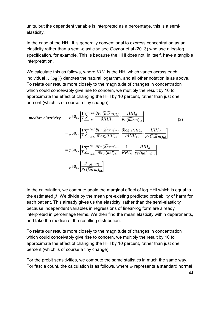units, but the dependent variable is interpreted as a percentage, this is a semielasticity.

In the case of the HHI, it is generally conventional to express concentration as an elasticity rather than a semi-elasticity: see Gaynor et al (2013) who use a log-log specification, for example. This is because the HHI does not, in itself, have a tangible interpretation.

We calculate this as follows, where  $HH_{l}$  is the HHI which varies across each individual  $i$ ,  $log(·)$  denotes the natural logarithm, and all other notation is as above. To relate our results more closely to the magnitude of changes in concentration which could conceivably give rise to concern, we multiply the result by 10 to approximate the effect of changing the HHI by 10 percent, rather than just one percent (which is of course a tiny change).

$$
\text{median elasticity} = p50_{ts} \left[ \frac{1}{I} \sum_{i \in d}^{I \in d} \frac{\partial Pr(\widehat{harm})_{id}}{\partial H H I_d} \cdot \frac{HH I_d}{Pr(\widehat{harm})_{id}} \right] \tag{2}
$$
\n
$$
= p50_{ts} \left[ \frac{1}{I} \sum_{i \in d}^{I \in d} \frac{\partial Pr(\widehat{harm})_{id}}{\partial \log(HH I)_d} \cdot \frac{\partial \log(HH I)_d}{\partial H H I_{ts}} \cdot \frac{HH I_d}{Pr(\widehat{harm})_{id}} \right]
$$
\n
$$
= p50_{ts} \left[ \frac{1}{I} \sum_{i \in d}^{I \in d} \frac{\partial Pr(\widehat{harm})_{id}}{\partial \log(hhi)_d} \cdot \frac{1}{HH I_d} \cdot \frac{HH I_d}{Pr(\widehat{harm})_{id}} \right]
$$
\n
$$
= p50_{ts} \left[ \frac{\beta_{\log(HH I)}}{Pr(\widehat{harm})_{id}} \right]
$$
\n(2)

In the calculation, we compute again the marginal effect of log HHI which is equal to the estimated  $\beta$ . We divide by the mean pre-existing predicted probability of harm for each patient. This already gives us the elasticity, rather than the semi-elasticity because independent variables in regressions of linear-log form are already interpreted in percentage terms. We then find the mean elasticity within departments, and take the median of the resulting distribution.

To relate our results more closely to the magnitude of changes in concentration which could conceivably give rise to concern, we multiply the result by 10 to approximate the effect of changing the HHI by 10 percent, rather than just one percent (which is of course a tiny change).

For the probit sensitivities, we compute the same statistics in much the same way. For fascia count, the calculation is as follows, where  $\varphi$  represents a standard normal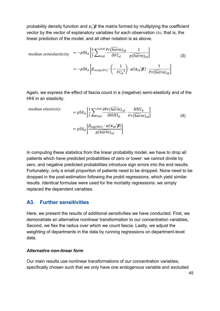probability density function and  $x_i'\boldsymbol{\beta}$  the matrix formed by multiplying the coefficient vector by the vector of explanatory variables for each observation  $its$ ; that is, the linear prediction of the model, and all other notation is as above.

median semielasticity 
$$
= -p50_d \left[ \frac{1}{I} \sum_{i \in d}^{I \in d} \frac{Pr(\widehat{harm})_{id}}{\partial F C_d} \cdot \frac{1}{p(\widehat{harm})_{id}} \right]
$$

$$
= -p50_d \left[ \beta_{recip(FC)} \cdot \left( -\frac{1}{FC_d^2} \right) \cdot \varphi(x_{id} \mid \boldsymbol{\beta}) \cdot \frac{1}{Pr(\widehat{harm})_{id}} \right]
$$
(3)

Again, we express the effect of fascia count in a (negative) semi-elasticity and of the HHI in an elasticity.

median elasticity

$$
= p50_d \left[ \frac{1}{I} \sum_{i \in d}^{I \in d} \frac{\partial Pr(harm)_{id}}{\partial H H I_d} \cdot \frac{H H I_d}{Pr(harm)_{id}} \right]
$$
  
=  $p50_d \left[ \frac{\beta_{\log(HHI)} \cdot \varphi(x_{id} \mid \beta)}{p(harm)_{id}} \right]$  (4)

 $\mathbf{I}$ 

In computing these statistics from the linear probability model, we have to drop all patients which have predicted probabilities of zero or lower: we cannot divide by zero, and negative predicted probabilities introduce sign errors into the end results. Fortunately, only a small proportion of patients need to be dropped. None need to be dropped in the post-estimation following the probit regressions, which yield similar results. Identical formulae were used for the mortality regressions: we simply replaced the dependent variables.

#### **A3. Further sensitivities**

Here, we present the results of additional sensitivities we have conducted. First, we demonstrate an alternative nonlinear transformation to our concentration variables, Second, we flex the radius over which we count fascia. Lastly, we adjust the weighting of departments in the data by running regressions on department-level data.

#### *Alternative non-linear form*

Our main results use nonlinear transformations of our concentration variables, specifically chosen such that we only have one endogenous variable and excluded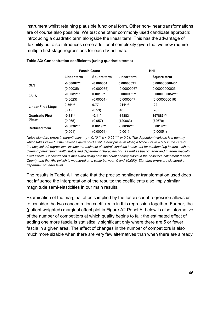instrument whilst retaining plausible functional form. Other non-linear transformations are of course also possible. We test one other commonly used candidate approach: introducing a quadratic term alongside the linear term. This has the advantage of flexibility but also introduces some additional complexity given that we now require multiple first-stage regressions for each IV estimate.

|                           |              | <b>Fascia Count</b> |               | HHI                |
|---------------------------|--------------|---------------------|---------------|--------------------|
|                           | Linear term  | <b>Square term</b>  | Linear term   | <b>Square term</b> |
| <b>OLS</b>                | $-0.00087**$ | $-0.000054$         | 0.00000091    | $0.00000000040*$   |
|                           | (0.00035)    | (0.000065)          | $-0.00000067$ | 0.00000000023      |
| 2SLS                      | $-0.0081***$ | $0.0013**$          | $0.000013***$ | 0.0000000052***    |
|                           | (0.0023)     | (0.00051)           | (0.0000047)   | (0.0000000016)     |
| <b>Linear First Stage</b> | $0.56***$    | 0.77                | $-211***$     | $-22$              |
|                           | (0.1)        | (0.53)              | (48)          | (26)               |
| <b>Quadratic First</b>    | $-0.13**$    | $-0.11*$            | $-148831$     | 397883***          |
| <b>Stage</b>              | (0.065)      | (0.057)             | (120063)      | (72679)            |
| <b>Reduced form</b>       | $-0.0036***$ | $0.0019***$         | $-0.0036***$  | $0.0019***$        |
|                           | (0.001)      | (0.00051)           | (0.001)       | (0.00051)          |

#### **Table A3: Concentration coefficients (using quadratic terms)**

*Notes standard errors in parentheses: \* p < 0.10 \*\* p < 0.05 \*\*\* p<0.01. The dependent variable is a dummy which takes value 1 if the patient experienced a fall, a new pressure ulcer, a blood clot or a UTI in the care of the hospital. All regressions include our main set of control variables to account for confounding factors such as differing pre-existing health status and department characteristics, as well as trust-quarter and quarter-specialty fixed effects. Concentration is measured using both the count of competitors in the hospital's catchment (Fascia Count), and the HHI (which is measured on a scale between 0 and 10,000). Standard errors are clustered at department-quarter level.*

The results in Table A1 indicate that the precise nonlinear transformation used does not influence the interpretation of the results: the coefficients also imply similar magnitude semi-elasticities in our main results.

Examination of the marginal effects implied by the fascia count regression allows us to consider the two concentration coefficients in this regression together. Further, the (patient weighted) marginal effect plot in Figure A2 Panel A, below is also informative of the number of competitors at which quality begins to fall: the estimated effect of adding one more fascia is statistically significant only where there are 5 or fewer fascia in a given area. The effect of changes in the number of competitors is also much more sizable when there are very few alternatives than when there are already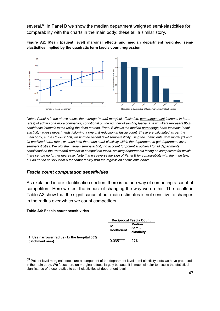several.<sup>65</sup> In Panel B we show the median department weighted semi-elasticities for comparability with the charts in the main body: these tell a similar story.





*Notes: Panel A in the above shows the average (mean) marginal effects (i.e. percentage point increase in harm rates) of adding one more competitor, conditional on the number of existing fascia. The whiskers represent 95% confidence intervals found using the delta method. Panel B shows the median percentage harm increase (semielasticity) across departments following a one unit reduction in fascia count. These are calculated as per the main body, and as follows: first, we find the patient level semi-elasticity using the coefficients from model (1) and its predicted harm rates; we then take the mean semi-elasticity within the department to get department level semi-elasticities. We plot the median semi-elasticity (to account for potential outliers) for all departments conditional on the (rounded) number of competitors faced, omitting departments facing no competitors for which there can be no further decrease. Note that we reverse the sign of Panel B for comparability with the main text, but do not do so for Panel A for comparability with the regression coefficients above.* 

#### *Fascia count computation sensitivities*

As explained in our identification section, there is no one way of computing a count of competitors. Here we test the impact of changing the way we do this. The results in Table A2 show that the significance of our main estimates is not sensitive to changes in the radius over which we count competitors.

#### **Table A4: Fascia count sensitivities**

|                                                                | <b>Reciprocal Fascia Count</b> |                               |  |
|----------------------------------------------------------------|--------------------------------|-------------------------------|--|
|                                                                | IV<br><b>Coefficient</b>       | Median<br>Semi-<br>elasticity |  |
| 1. Use narrower radius (1x the hospital 80%<br>catchment area) | $0.035***$                     | 27%                           |  |

 $65$  Patient level marginal effects are a component of the department level semi-elasticity plots we have produced in the main body. We focus here on marginal effects largely because it is much simpler to assess the statistical significance of these relative to semi-elasticities at department level.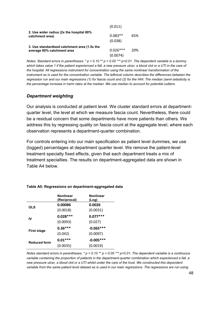|                                                                            | (0.011)                |     |
|----------------------------------------------------------------------------|------------------------|-----|
| 2. Use wider radius (2x the hospital 80%<br>catchment area)                | $0.083**$<br>(0.038)   | 65% |
| 3. Use standardised catchment area (1.5x the<br>average 80% catchment area | $0.026***$<br>(0.0074) | 20% |

*Notes: Standard errors in parentheses: \* p < 0.10 \*\* p < 0.05 \*\*\* p<0.01. The dependent variable is a dummy*  which takes value 1 if the patient experienced a fall, a new pressure ulcer, a blood clot or a UTI in the care of *the hospital. All regressions instrument for concentration using the same nonlinear transformation of the instrument as is used for the concentration variable. The leftmost column describes the differences between the regression run and our main regressions (1) for fascia count and (2) for the HHI. The median (semi-)elasticity is the percentage increase in harm rates at the median. We use median to account for potential outliers.*

#### *Department weighting*

Our analysis is conducted at patient level. We cluster standard errors at departmentquarter level, the level at which we measure fascia count. Nevertheless, there could be a residual concern that some departments have more patients than others. We address this by regressing quality on fascia count at the aggregate level, where each observation represents a department-quarter combination.

For controls entering into our main specification as patient level dummies, we use (logged) percentages at department quarter level. We remove the patient-level treatment specialty fixed effects, given that each department treats a mix of treatment specialties. The results on department-aggregated data are shown in Table A4 below.

|                     | <b>Nonlinear</b><br>(Reciprocal) | <b>Nonlinear</b><br>(Log) |
|---------------------|----------------------------------|---------------------------|
| <b>OLS</b>          | 0.00086                          | 0.0026                    |
|                     | (0.0018)                         | (0.0031)                  |
| IV                  | $0.028***$                       | $0.077***$                |
|                     | (0.0093)                         | (0.027)                   |
| First stage         | $0.36***$                        | $-0.065***$               |
|                     | (0.042)                          | (0.0097)                  |
| <b>Reduced form</b> | $0.01***$                        | $-0.005***$               |
|                     | (0.0035)                         | (0.0019)                  |

#### **Table A5: Regressions on department-aggregated data**

*Notes standard errors in parentheses: \* p < 0.10 \*\* p < 0.05 \*\*\* p<0.01. The dependent variable is a continuous variable containing the proportion of patients in the department-quarter combination which experienced a fall, a new pressure ulcer, a blood clot or a UTI whilst under the care of the trust. We constructed this dependent variable from the same patient level dataset as is used in our main regressions. The regressions are run using*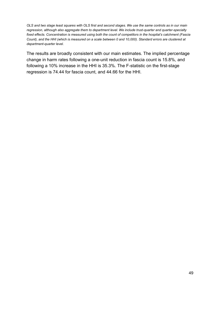*OLS and two stage least squares with OLS first and second stages. We use the same controls as in our main regression, although also aggregate them to department level. We include trust-quarter and quarter-specialty fixed effects. Concentration is measured using both the count of competitors in the hospital's catchment (Fascia Count), and the HHI (which is measured on a scale between 0 and 10,000). Standard errors are clustered at department-quarter level.*

The results are broadly consistent with our main estimates. The implied percentage change in harm rates following a one-unit reduction in fascia count is 15.8%, and following a 10% increase in the HHI is 35.3%. The F-statistic on the first-stage regression is 74.44 for fascia count, and 44.66 for the HHI.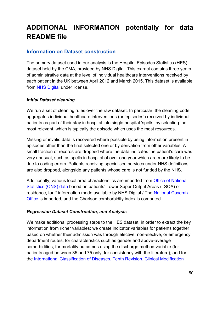# **ADDITIONAL INFORMATION potentially for data README file**

## **Information on Dataset construction**

The primary dataset used in our analysis is the Hospital Episodes Statistics (HES) dataset held by the CMA, provided by NHS Digital. This extract contains three years of administrative data at the level of individual healthcare interventions received by each patient in the UK between April 2012 and March 2015. This dataset is available from [NHS Digital](https://digital.nhs.uk/data-and-information/data-tools-and-services/data-services/hospital-episode-statistics) under license.

#### *Initial Dataset cleaning*

We run a set of cleaning rules over the raw dataset. In particular, the cleaning code aggregates individual healthcare interventions (or 'episodes') received by individual patients as part of their stay in hospital into single hospital 'spells' by selecting the most relevant, which is typically the episode which uses the most resources.

Missing or invalid data is recovered where possible by using information present in episodes other than the final selected one or by derivation from other variables. A small fraction of records are dropped where the data indicates the patient's care was very unusual, such as spells in hospital of over one year which are more likely to be due to coding errors. Patients receiving specialised services under NHS definitions are also dropped, alongside any patients whose care is not funded by the NHS.

Additionally, various local area characteristics are imported from [Office of National](https://www.ons.gov.uk/methodology/geography/ukgeographies/censusgeography)  [Statistics \(ONS\) data](https://www.ons.gov.uk/methodology/geography/ukgeographies/censusgeography) based on patients' Lower Super Output Areas (LSOA) of residence, tariff information made available by NHS Digital / The [National Casemix](https://digital.nhs.uk/services/national-casemix-office)  [Office](https://digital.nhs.uk/services/national-casemix-office) is imported, and the Charlson comborbidity index is computed.

#### *Regression Dataset Construction, and Analysis*

We make additional processing steps to the HES dataset, in order to extract the key information from richer variables: we create indicator variables for patients together based on whether their admission was through elective, non-elective, or emergency department routes; for characteristics such as gender and above-average comorbidities; for mortality outcomes using the discharge method variable (for patients aged between 35 and 75 only, for consistency with the literature); and for the [International Classification of Diseases, Tenth Revision, Clinical Modification](https://icd.who.int/browse10/2010/en)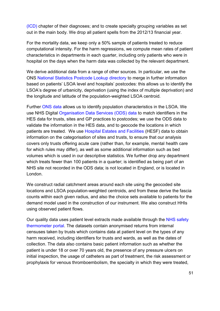[\(ICD\)](https://icd.who.int/browse10/2010/en) chapter of their diagnoses; and to create specialty grouping variables as set out in the main body. We drop all patient spells from the 2012/13 financial year.

For the mortality data, we keep only a 50% sample of patients treated to reduce computational intensity. For the harm regressions, we compute mean rates of patient characteristics in departments in each quarter, including only patients who were in hospital on the days when the harm data was collected by the relevant department.

We derive additional data from a range of other sources. In particular, we use the ONS [National Statistics Postcode Lookup directory](https://www.ons.gov.uk/methodology/geography/geographicalproducts/postcodeproducts) to merge in further information based on patients' LSOA level and hospitals' postcodes: this allows us to identify the LSOA's degree of urbanicity, deprivation (using the index of multiple deprivation) and the longitude and latitude of the population-weighted LSOA centroid.

Further [ONS data](https://www.ons.gov.uk/peoplepopulationandcommunity/populationandmigration/populationestimates/datasets/lowersuperoutputareamidyearpopulationestimatesnationalstatistics) allows us to identify population characteristics in the LSOA. We use NHS Digital [Organisation Data Services \(ODS\) data](https://digital.nhs.uk/services/organisation-data-service/data-downloads) to match identifiers in the HES data for trusts, sites and GP practices to postcodes; we use the ODS data to validate the information in the HES data, and to geocode the locations in which patients are treated. We use [Hospital Estates and Facilities](http://hefs.hscic.gov.uk/) (HESF) data to obtain information on the categorisation of sites and trusts, to ensure that our analysis covers only trusts offering acute care (rather than, for example, mental health care for which rules may differ), as well as some additional information such as bed volumes which is used in our descriptive statistics. We further drop any department which treats fewer than 100 patients in a quarter; is identified as being part of an NHS site not recorded in the ODS data; is not located in England, or is located in London.

We construct radial catchment areas around each site using the geocoded site locations and LSOA population-weighted centroids, and from these derive the fascia counts within each given radius, and also the choice sets available to patients for the demand model used in the construction of our instrument. We also construct HHIs using observed patient flows.

Our quality data uses patient level extracts made available through the [NHS safety](https://www.safetythermometer.nhs.uk/index.php/data-publication-and-access)  [thermometer portal.](https://www.safetythermometer.nhs.uk/index.php/data-publication-and-access) The datasets contain anonymised returns from internal censuses taken by trusts which contains data at patient level on the types of any harm received, including identifiers for trusts and wards, as well as the dates of collection. The data also contains basic patient information such as whether the patient is under 18 or over 70 years old, the presence of any pressure ulcers on initial inspection, the usage of catheters as part of treatment, the risk assessment or prophylaxis for venous thromboembolism, the specialty in which they were treated,